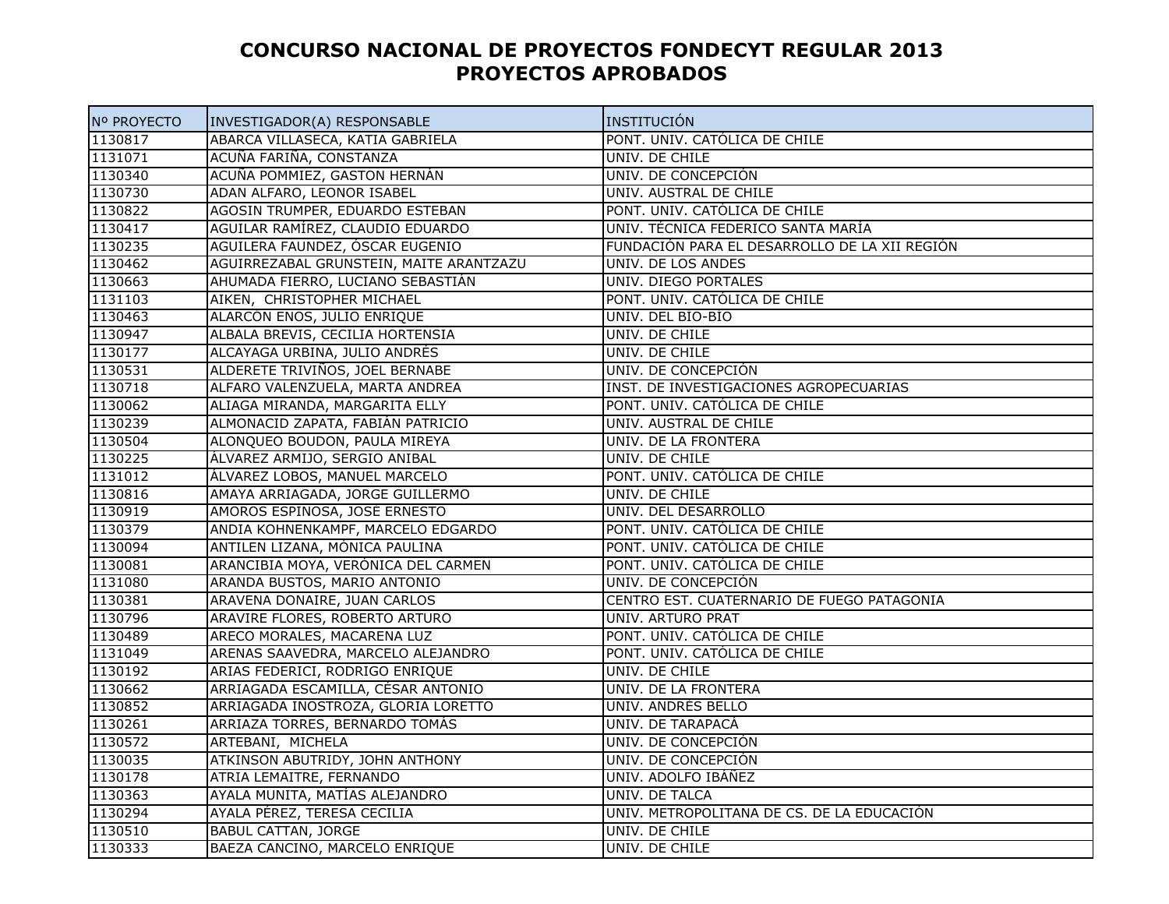## **CONCURSO NACIONAL DE PROYECTOS FONDECYT REGULAR 2013PROYECTOS APROBADOS**

| Nº PROYECTO | INVESTIGADOR(A) RESPONSABLE             | INSTITUCIÓN                                   |
|-------------|-----------------------------------------|-----------------------------------------------|
| 1130817     | ABARCA VILLASECA, KATIA GABRIELA        | PONT. UNIV. CATÓLICA DE CHILE                 |
| 1131071     | ACUÑA FARIÑA, CONSTANZA                 | UNIV. DE CHILE                                |
| 1130340     | ACUÑA POMMIEZ, GASTON HERNÁN            | UNIV. DE CONCEPCION                           |
| 1130730     | ADAN ALFARO, LEONOR ISABEL              | UNIV. AUSTRAL DE CHILE                        |
| 1130822     | AGOSIN TRUMPER, EDUARDO ESTEBAN         | PONT. UNIV. CATÓLICA DE CHILE                 |
| 1130417     | AGUILAR RAMÍREZ, CLAUDIO EDUARDO        | UNIV. TECNICA FEDERICO SANTA MARÍA            |
| 1130235     | AGUILERA FAUNDEZ, ÓSCAR EUGENIO         | FUNDACIÓN PARA EL DESARROLLO DE LA XII REGIÓN |
| 1130462     | AGUIRREZABAL GRUNSTEIN, MAITE ARANTZAZU | UNIV. DE LOS ANDES                            |
| 1130663     | AHUMADA FIERRO, LUCIANO SEBASTIÁN       | UNIV. DIEGO PORTALES                          |
| 1131103     | AIKEN, CHRISTOPHER MICHAEL              | PONT. UNIV. CATÓLICA DE CHILE                 |
| 1130463     | ALARCÓN ENOS, JULIO ENRIQUE             | UNIV. DEL BIO-BIO                             |
| 1130947     | ALBALA BREVIS, CECILIA HORTENSIA        | UNIV. DE CHILE                                |
| 1130177     | ALCAYAGA URBINA, JULIO ANDRÉS           | UNIV. DE CHILE                                |
| 1130531     | ALDERETE TRIVIÑOS, JOEL BERNABE         | UNIV. DE CONCEPCIÓN                           |
| 1130718     | ALFARO VALENZUELA, MARTA ANDREA         | INST. DE INVESTIGACIONES AGROPECUARIAS        |
| 1130062     | ALIAGA MIRANDA, MARGARITA ELLY          | PONT. UNIV. CATÓLICA DE CHILE                 |
| 1130239     | ALMONACID ZAPATA, FABIÁN PATRICIO       | UNIV. AUSTRAL DE CHILE                        |
| 1130504     | ALONQUEO BOUDON, PAULA MIREYA           | UNIV. DE LA FRONTERA                          |
| 1130225     | ÁLVAREZ ARMIJO, SERGIO ANIBAL           | UNIV. DE CHILE                                |
| 1131012     | ÁLVAREZ LOBOS, MANUEL MARCELO           | PONT. UNIV. CATÓLICA DE CHILE                 |
| 1130816     | AMAYA ARRIAGADA, JORGE GUILLERMO        | UNIV. DE CHILE                                |
| 1130919     | AMOROS ESPINOSA, JOSÉ ERNESTO           | UNIV. DEL DESARROLLO                          |
| 1130379     | ANDIA KOHNENKAMPF, MARCELO EDGARDO      | PONT. UNIV. CATOLICA DE CHILE                 |
| 1130094     | ANTILEN LIZANA, MÓNICA PAULINA          | PONT. UNIV. CATOLICA DE CHILE                 |
| 1130081     | ARANCIBIA MOYA, VERÓNICA DEL CARMEN     | PONT. UNIV. CATOLICA DE CHILE                 |
| 1131080     | ARANDA BUSTOS, MARIO ANTONIO            | UNIV. DE CONCEPCIÓN                           |
| 1130381     | ARAVENA DONAIRE, JUAN CARLOS            | CENTRO EST. CUATERNARIO DE FUEGO PATAGONIA    |
| 1130796     | ARAVIRE FLORES, ROBERTO ARTURO          | UNIV. ARTURO PRAT                             |
| 1130489     | ARECO MORALES, MACARENA LUZ             | PONT. UNIV. CATÓLICA DE CHILE                 |
| 1131049     | ARENAS SAAVEDRA, MARCELO ALEJANDRO      | PONT. UNIV. CATOLICA DE CHILE                 |
| 1130192     | ARIAS FEDERICI, RODRIGO ENRIQUE         | UNIV. DE CHILE                                |
| 1130662     | ARRIAGADA ESCAMILLA, CÉSAR ANTONIO      | UNIV. DE LA FRONTERA                          |
| 1130852     | ARRIAGADA INOSTROZA, GLORIA LORETTO     | UNIV. ANDRES BELLO                            |
| 1130261     | ARRIAZA TORRES, BERNARDO TOMÁS          | UNIV. DE TARAPACA                             |
| 1130572     | ARTEBANI, MICHELA                       | UNIV. DE CONCEPCIÓN                           |
| 1130035     | ATKINSON ABUTRIDY, JOHN ANTHONY         | UNIV. DE CONCEPCIÓN                           |
| 1130178     | ATRIA LEMAITRE, FERNANDO                | UNIV. ADOLFO IBAÑEZ                           |
| 1130363     | AYALA MUNITA, MATÍAS ALEJANDRO          | UNIV. DE TALCA                                |
| 1130294     | AYALA PÉREZ, TERESA CECILIA             | UNIV. METROPOLITANA DE CS. DE LA EDUCACIÓN    |
| 1130510     | <b>BABUL CATTAN, JORGE</b>              | UNIV. DE CHILE                                |
| 1130333     | BAEZA CANCINO, MARCELO ENRIQUE          | UNIV. DE CHILE                                |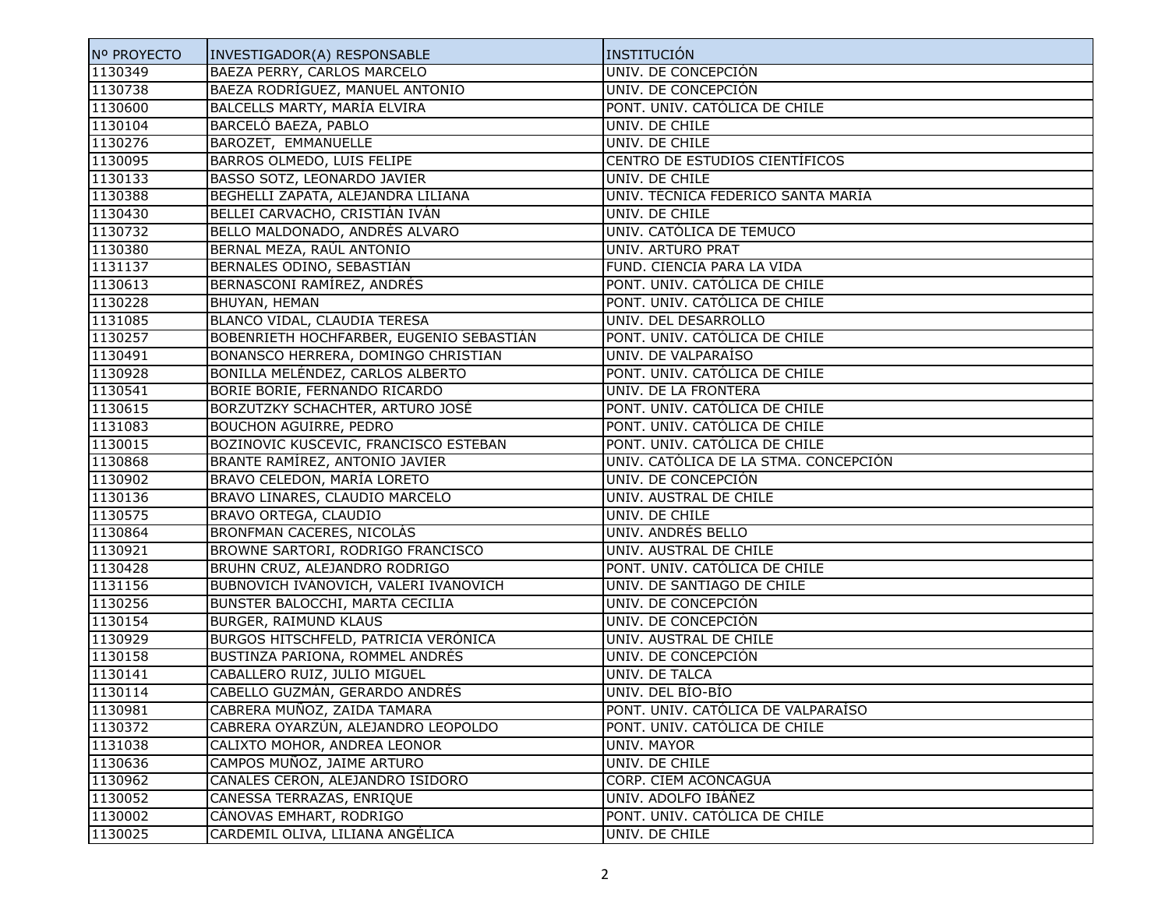| Nº PROYECTO | INVESTIGADOR(A) RESPONSABLE              | INSTITUCIÓN                           |
|-------------|------------------------------------------|---------------------------------------|
| 1130349     | BAEZA PERRY, CARLOS MARCELO              | UNIV. DE CONCEPCIÓN                   |
| 1130738     | BAEZA RODRÍGUEZ, MANUEL ANTONIO          | UNIV. DE CONCEPCIÓN                   |
| 1130600     | BALCELLS MARTY, MARÍA ELVIRA             | PONT. UNIV. CATÓLICA DE CHILE         |
| 1130104     | BARCELÓ BAEZA, PABLO                     | UNIV. DE CHILE                        |
| 1130276     | BAROZET, EMMANUELLE                      | UNIV. DE CHILE                        |
| 1130095     | BARROS OLMEDO, LUIS FELIPE               | CENTRO DE ESTUDIOS CIENTÍFICOS        |
| 1130133     | BASSO SOTZ, LEONARDO JAVIER              | UNIV. DE CHILE                        |
| 1130388     | BEGHELLI ZAPATA, ALEJANDRA LILIANA       | UNIV. TÉCNICA FEDERICO SANTA MARÍA    |
| 1130430     | BELLEI CARVACHO, CRISTIÁN IVÁN           | UNIV. DE CHILE                        |
| 1130732     | BELLO MALDONADO, ANDRÉS ALVARO           | UNIV. CATÓLICA DE TEMUCO              |
| 1130380     | BERNAL MEZA, RAÚL ANTONIO                | UNIV. ARTURO PRAT                     |
| 1131137     | BERNALES ODINO, SEBASTIÁN                | FUND. CIENCIA PARA LA VIDA            |
| 1130613     | BERNASCONI RAMÍREZ, ANDRÉS               | PONT. UNIV. CATÓLICA DE CHILE         |
| 1130228     | BHUYAN, HEMAN                            | PONT. UNIV. CATÓLICA DE CHILE         |
| 1131085     | BLANCO VIDAL, CLAUDIA TERESA             | UNIV. DEL DESARROLLO                  |
| 1130257     | BOBENRIETH HOCHFARBER, EUGENIO SEBASTIÁN | PONT. UNIV. CATÓLICA DE CHILE         |
| 1130491     | BONANSCO HERRERA, DOMINGO CHRISTIAN      | UNIV. DE VALPARAÍSO                   |
| 1130928     | BONILLA MELÉNDEZ, CARLOS ALBERTO         | PONT. UNIV. CATÓLICA DE CHILE         |
| 1130541     | BORIE BORIE, FERNANDO RICARDO            | UNIV. DE LA FRONTERA                  |
| 1130615     | BORZUTZKY SCHACHTER, ARTURO JOSÉ         | PONT. UNIV. CATÓLICA DE CHILE         |
| 1131083     | BOUCHON AGUIRRE, PEDRO                   | PONT. UNIV. CATÓLICA DE CHILE         |
| 1130015     | BOZINOVIC KUSCEVIC, FRANCISCO ESTEBAN    | PONT. UNIV. CATÓLICA DE CHILE         |
| 1130868     | BRANTE RAMÍREZ, ANTONIO JAVIER           | UNIV. CATÓLICA DE LA STMA. CONCEPCIÓN |
| 1130902     | BRAVO CELEDON, MARÍA LORETO              | UNIV. DE CONCEPCIÓN                   |
| 1130136     | BRAVO LINARES, CLAUDIO MARCELO           | UNIV. AUSTRAL DE CHILE                |
| 1130575     | BRAVO ORTEGA, CLAUDIO                    | UNIV. DE CHILE                        |
| 1130864     | BRONFMAN CACERES, NICOLÁS                | UNIV. ANDRÉS BELLO                    |
| 1130921     | BROWNE SARTORI, RODRIGO FRANCISCO        | UNIV. AUSTRAL DE CHILE                |
| 1130428     | BRUHN CRUZ, ALEJANDRO RODRIGO            | PONT. UNIV. CATÓLICA DE CHILE         |
| 1131156     | BUBNOVICH IVÁNOVICH, VALERI IVANOVICH    | UNIV. DE SANTIAGO DE CHILE            |
| 1130256     | BUNSTER BALOCCHI, MARTA CECILIA          | UNIV. DE CONCEPCIÓN                   |
| 1130154     | <b>BURGER, RAIMUND KLAUS</b>             | UNIV. DE CONCEPCIÓN                   |
| 1130929     | BURGOS HITSCHFELD, PATRICIA VERÓNICA     | UNIV. AUSTRAL DE CHILE                |
| 1130158     | BUSTINZA PARIONA, ROMMEL ANDRÉS          | UNIV. DE CONCEPCIÓN                   |
| 1130141     | CABALLERO RUIZ, JULIO MIGUEL             | UNIV. DE TALCA                        |
| 1130114     | CABELLO GUZMÁN, GERARDO ANDRÉS           | UNIV. DEL BIO-BIO                     |
| 1130981     | CABRERA MUÑOZ, ZAIDA TAMARA              | PONT. UNIV. CATÓLICA DE VALPARAÍSO    |
| 1130372     | CABRERA OYARZÚN, ALEJANDRO LEOPOLDO      | PONT. UNIV. CATÓLICA DE CHILE         |
| 1131038     | CALIXTO MOHOR, ANDREA LEONOR             | UNIV. MAYOR                           |
| 1130636     | CAMPOS MUÑOZ, JAIME ARTURO               | UNIV. DE CHILE                        |
| 1130962     | CANALES CERON, ALEJANDRO ISIDORO         | CORP. CIEM ACONCAGUA                  |
| 1130052     | CANESSA TERRAZAS, ENRIQUE                | UNIV. ADOLFO IBÁÑEZ                   |
| 1130002     | CÁNOVAS EMHART, RODRIGO                  | PONT. UNIV. CATÓLICA DE CHILE         |
| 1130025     | CARDEMIL OLIVA, LILIANA ANGÉLICA         | UNIV. DE CHILE                        |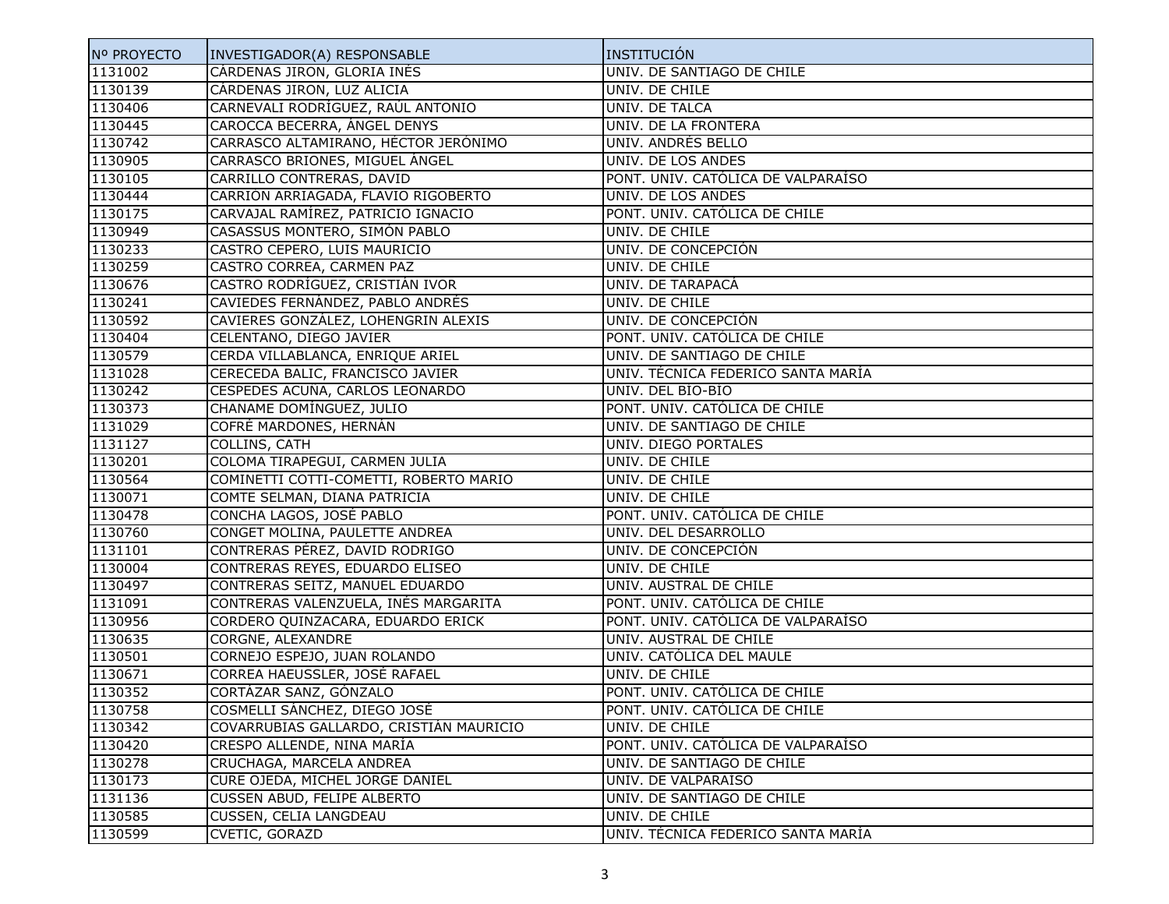| Nº PROYECTO | INVESTIGADOR(A) RESPONSABLE             | INSTITUCIÓN                        |
|-------------|-----------------------------------------|------------------------------------|
| 1131002     | CÁRDENAS JIRON, GLORIA INÉS             | UNIV. DE SANTIAGO DE CHILE         |
| 1130139     | CÁRDENAS JIRON, LUZ ALICIA              | UNIV. DE CHILE                     |
| 1130406     | CARNEVALI RODRÍGUEZ, RAÚL ANTONIO       | UNIV. DE TALCA                     |
| 1130445     | CAROCCA BECERRA, ÁNGEL DENYS            | UNIV. DE LA FRONTERA               |
| 1130742     | CARRASCO ALTAMIRANO, HÉCTOR JERÓNIMO    | UNIV. ANDRÉS BELLO                 |
| 1130905     | CARRASCO BRIONES, MIGUEL ÁNGEL          | UNIV. DE LOS ANDES                 |
| 1130105     | CARRILLO CONTRERAS, DAVID               | PONT. UNIV. CATÓLICA DE VALPARAÍSO |
| 1130444     | CARRIÓN ARRIAGADA, FLAVIO RIGOBERTO     | UNIV. DE LOS ANDES                 |
| 1130175     | CARVAJAL RAMÍREZ, PATRICIO IGNACIO      | PONT. UNIV. CATÓLICA DE CHILE      |
| 1130949     | CASASSUS MONTERO, SIMÓN PABLO           | UNIV. DE CHILE                     |
| 1130233     | CASTRO CEPERO, LUIS MAURICIO            | UNIV. DE CONCEPCIÓN                |
| 1130259     | CASTRO CORREA, CARMEN PAZ               | UNIV. DE CHILE                     |
| 1130676     | CASTRO RODRÍGUEZ, CRISTIÁN IVOR         | UNIV. DE TARAPACÁ                  |
| 1130241     | CAVIEDES FERNÁNDEZ, PABLO ANDRÉS        | UNIV. DE CHILE                     |
| 1130592     | CAVIERES GONZÁLEZ, LOHENGRIN ALEXIS     | UNIV. DE CONCEPCIÓN                |
| 1130404     | CELENTANO, DIEGO JAVIER                 | PONT. UNIV. CATÓLICA DE CHILE      |
| 1130579     | CERDA VILLABLANCA, ENRIQUE ARIEL        | UNIV. DE SANTIAGO DE CHILE         |
| 1131028     | CERECEDA BALIC, FRANCISCO JAVIER        | UNIV. TÉCNICA FEDERICO SANTA MARÍA |
| 1130242     | CESPEDES ACUÑA, CARLOS LEONARDO         | UNIV. DEL BÍO-BÍO                  |
| 1130373     | CHANAME DOMÍNGUEZ, JULIO                | PONT. UNIV. CATÓLICA DE CHILE      |
| 1131029     | COFRÉ MARDONES, HERNÁN                  | UNIV. DE SANTIAGO DE CHILE         |
| 1131127     | <b>COLLINS, CATH</b>                    | UNIV. DIEGO PORTALES               |
| 1130201     | COLOMA TIRAPEGUI, CARMEN JULIA          | UNIV. DE CHILE                     |
| 1130564     | COMINETTI COTTI-COMETTI, ROBERTO MARIO  | UNIV. DE CHILE                     |
| 1130071     | COMTE SELMAN, DIANA PATRICIA            | UNIV. DE CHILE                     |
| 1130478     | CONCHA LAGOS, JOSÉ PABLO                | PONT. UNIV. CATÓLICA DE CHILE      |
| 1130760     | CONGET MOLINA, PAULETTE ANDREA          | UNIV. DEL DESARROLLO               |
| 1131101     | CONTRERAS PÉREZ, DAVID RODRIGO          | UNIV. DE CONCEPCIÓN                |
| 1130004     | CONTRERAS REYES, EDUARDO ELISEO         | UNIV. DE CHILE                     |
| 1130497     | CONTRERAS SEITZ, MANUEL EDUARDO         | UNIV. AUSTRAL DE CHILE             |
| 1131091     | CONTRERAS VALENZUELA, INÉS MARGARITA    | PONT. UNIV. CATÓLICA DE CHILE      |
| 1130956     | CORDERO QUINZACARA, EDUARDO ERICK       | PONT. UNIV. CATÓLICA DE VALPARAÍSO |
| 1130635     | <b>CORGNE, ALEXANDRE</b>                | UNIV. AUSTRAL DE CHILE             |
| 1130501     | CORNEJO ESPEJO, JUAN ROLANDO            | UNIV. CATÓLICA DEL MAULE           |
| 1130671     | CORREA HAEUSSLER, JOSÉ RAFAEL           | UNIV. DE CHILE                     |
| 1130352     | CORTÁZAR SANZ, GÓNZALO                  | PONT. UNIV. CATÓLICA DE CHILE      |
| 1130758     | COSMELLI SÁNCHEZ, DIEGO JOSÉ            | PONT. UNIV. CATÓLICA DE CHILE      |
| 1130342     | COVARRUBIAS GALLARDO, CRISTIÁN MAURICIO | UNIV. DE CHILE                     |
| 1130420     | CRESPO ALLENDE, NINA MARÍA              | PONT. UNIV. CATÓLICA DE VALPARAÍSO |
| 1130278     | CRUCHAGA, MARCELA ANDREA                | UNIV. DE SANTIAGO DE CHILE         |
| 1130173     | CURE OJEDA, MICHEL JORGE DANIEL         | UNIV. DE VALPARAÍSO                |
| 1131136     | CUSSEN ABUD, FELIPE ALBERTO             | UNIV. DE SANTIAGO DE CHILE         |
| 1130585     | <b>CUSSEN, CELIA LANGDEAU</b>           | UNIV. DE CHILE                     |
| 1130599     | CVETIC, GORAZD                          | UNIV. TÉCNICA FEDERICO SANTA MARÍA |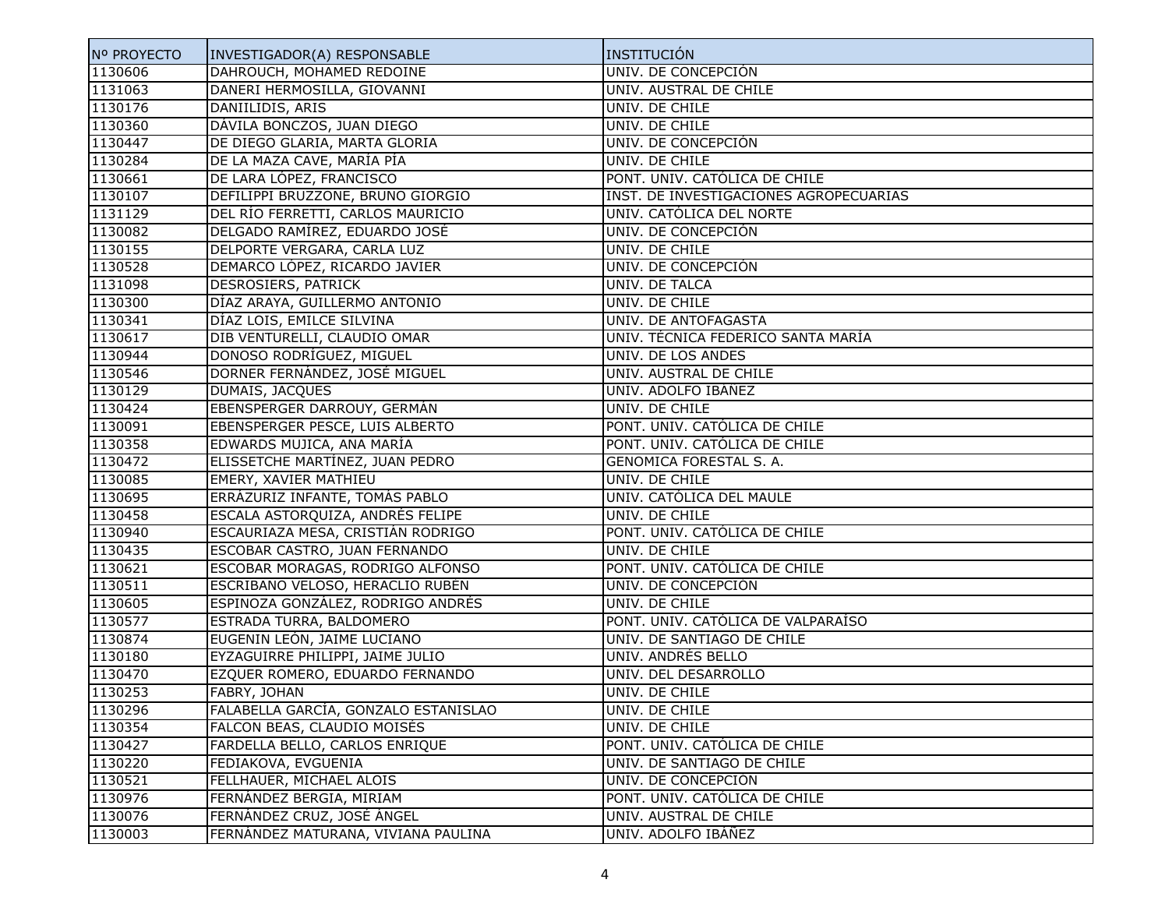| Nº PROYECTO | INVESTIGADOR(A) RESPONSABLE          | INSTITUCIÓN                            |
|-------------|--------------------------------------|----------------------------------------|
| 1130606     | DAHROUCH, MOHAMED REDOINE            | UNIV. DE CONCEPCIÓN                    |
| 1131063     | DANERI HERMOSILLA, GIOVANNI          | UNIV. AUSTRAL DE CHILE                 |
| 1130176     | DANIILIDIS, ARIS                     | UNIV. DE CHILE                         |
| 1130360     | DÁVILA BONCZOS, JUAN DIEGO           | UNIV. DE CHILE                         |
| 1130447     | DE DIEGO GLARIA, MARTA GLORIA        | UNIV. DE CONCEPCIÓN                    |
| 1130284     | DE LA MAZA CAVE, MARÍA PÍA           | UNIV. DE CHILE                         |
| 1130661     | DE LARA LÓPEZ, FRANCISCO             | PONT. UNIV. CATÓLICA DE CHILE          |
| 1130107     | DEFILIPPI BRUZZONE, BRUNO GIORGIO    | INST. DE INVESTIGACIONES AGROPECUARIAS |
| 1131129     | DEL RÍO FERRETTI, CARLOS MAURICIO    | UNIV. CATÓLICA DEL NORTE               |
| 1130082     | DELGADO RAMÍREZ, EDUARDO JOSÉ        | UNIV. DE CONCEPCIÓN                    |
| 1130155     | DELPORTE VERGARA, CARLA LUZ          | UNIV. DE CHILE                         |
| 1130528     | DEMARCO LÓPEZ, RICARDO JAVIER        | UNIV. DE CONCEPCIÓN                    |
| 1131098     | DESROSIERS, PATRICK                  | UNIV. DE TALCA                         |
| 1130300     | DÍAZ ARAYA, GUILLERMO ANTONIO        | UNIV. DE CHILE                         |
| 1130341     | DÍAZ LOIS, EMILCE SILVINA            | UNIV. DE ANTOFAGASTA                   |
| 1130617     | DIB VENTURELLI, CLAUDIO OMAR         | UNIV. TÉCNICA FEDERICO SANTA MARÍA     |
| 1130944     | DONOSO RODRÍGUEZ, MIGUEL             | UNIV. DE LOS ANDES                     |
| 1130546     | DORNER FERNÁNDEZ, JOSÉ MIGUEL        | UNIV. AUSTRAL DE CHILE                 |
| 1130129     | DUMAIS, JACQUES                      | UNIV. ADOLFO IBÁÑEZ                    |
| 1130424     | EBENSPERGER DARROUY, GERMÁN          | UNIV. DE CHILE                         |
| 1130091     | EBENSPERGER PESCE, LUIS ALBERTO      | PONT. UNIV. CATÓLICA DE CHILE          |
| 1130358     | EDWARDS MUJICA, ANA MARÍA            | PONT. UNIV. CATÓLICA DE CHILE          |
| 1130472     | ELISSETCHE MARTÍNEZ, JUAN PEDRO      | GENOMICA FORESTAL S. A.                |
| 1130085     | EMERY, XAVIER MATHIEU                | UNIV. DE CHILE                         |
| 1130695     | ERRÁZURIZ INFANTE, TOMÁS PABLO       | UNIV. CATÓLICA DEL MAULE               |
| 1130458     | ESCALA ASTORQUIZA, ANDRÉS FELIPE     | UNIV. DE CHILE                         |
| 1130940     | ESCAURIAZA MESA, CRISTIÁN RODRIGO    | PONT. UNIV. CATÓLICA DE CHILE          |
| 1130435     | ESCOBAR CASTRO, JUAN FERNANDO        | UNIV. DE CHILE                         |
| 1130621     | ESCOBAR MORAGAS, RODRIGO ALFONSO     | PONT. UNIV. CATÓLICA DE CHILE          |
| 1130511     | ESCRIBANO VELOSO, HERACLIO RUBÉN     | UNIV. DE CONCEPCIÓN                    |
| 1130605     | ESPINOZA GONZÁLEZ, RODRIGO ANDRÉS    | UNIV. DE CHILE                         |
| 1130577     | ESTRADA TURRA, BALDOMERO             | PONT. UNIV. CATÓLICA DE VALPARAÍSO     |
| 1130874     | EUGENIN LEÓN, JAIME LUCIANO          | UNIV. DE SANTIAGO DE CHILE             |
| 1130180     | EYZAGUIRRE PHILIPPI, JAIME JULIO     | UNIV. ANDRÉS BELLO                     |
| 1130470     | EZQUER ROMERO, EDUARDO FERNANDO      | UNIV. DEL DESARROLLO                   |
| 1130253     | FABRY, JOHAN                         | UNIV. DE CHILE                         |
| 1130296     | FALABELLA GARCÍA, GONZALO ESTANISLAO | UNIV. DE CHILE                         |
| 1130354     | FALCON BEAS, CLAUDIO MOISÉS          | UNIV. DE CHILE                         |
| 1130427     | FARDELLA BELLO, CARLOS ENRIQUE       | PONT. UNIV. CATÓLICA DE CHILE          |
| 1130220     | FEDIAKOVA, EVGUENIA                  | UNIV. DE SANTIAGO DE CHILE             |
| 1130521     | FELLHAUER, MICHAEL ALOIS             | UNIV. DE CONCEPCIÓN                    |
| 1130976     | FERNÁNDEZ BERGIA, MIRIAM             | PONT. UNIV. CATÓLICA DE CHILE          |
| 1130076     | FERNÁNDEZ CRUZ, JOSÉ ÁNGEL           | UNIV. AUSTRAL DE CHILE                 |
| 1130003     | FERNÁNDEZ MATURANA, VIVIANA PAULINA  | UNIV. ADOLFO IBÁÑEZ                    |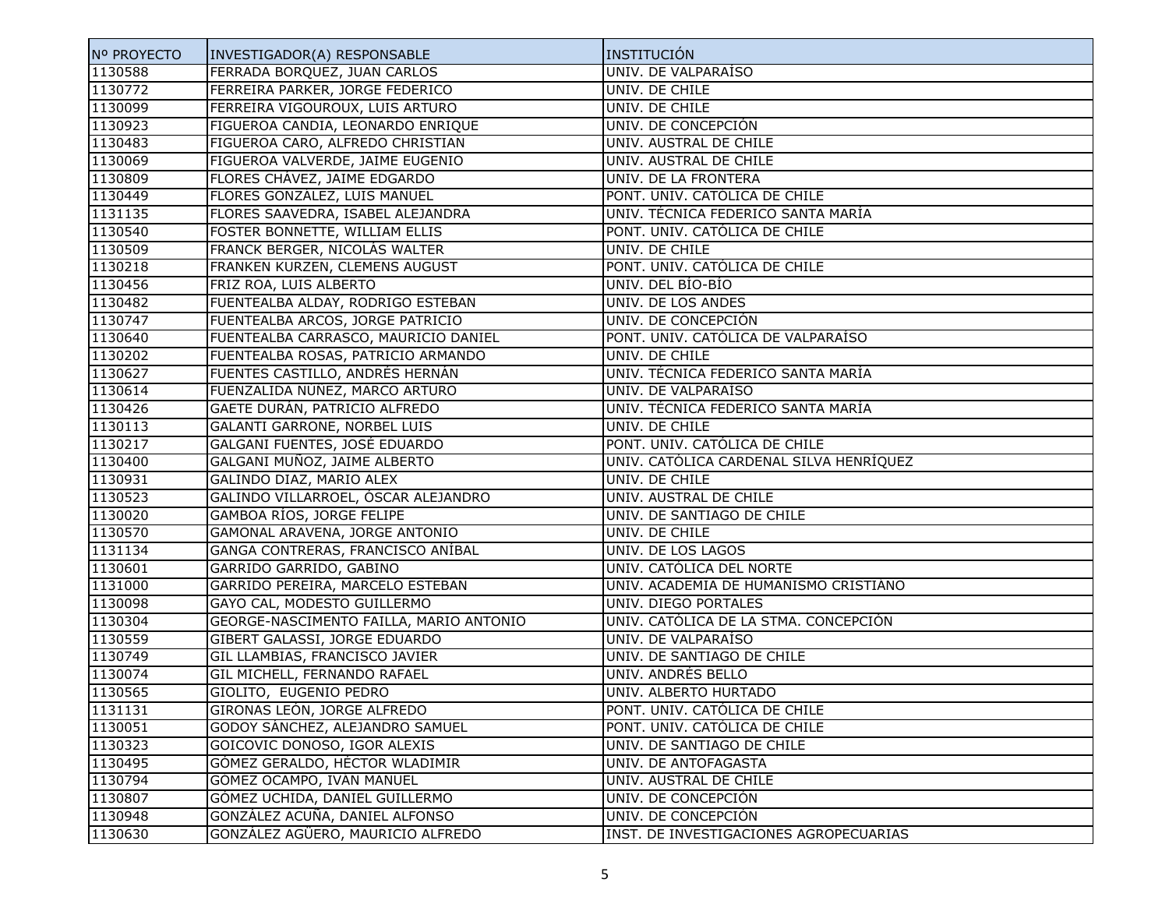| Nº PROYECTO | INVESTIGADOR(A) RESPONSABLE             | INSTITUCIÓN                             |
|-------------|-----------------------------------------|-----------------------------------------|
| 1130588     | FERRADA BORQUEZ, JUAN CARLOS            | UNIV. DE VALPARAÍSO                     |
| 1130772     | FERREIRA PARKER, JORGE FEDERICO         | UNIV. DE CHILE                          |
| 1130099     | FERREIRA VIGOUROUX, LUIS ARTURO         | UNIV. DE CHILE                          |
| 1130923     | FIGUEROA CANDIA, LEONARDO ENRIQUE       | UNIV. DE CONCEPCIÓN                     |
| 1130483     | FIGUEROA CARO, ALFREDO CHRISTIAN        | UNIV. AUSTRAL DE CHILE                  |
| 1130069     | FIGUEROA VALVERDE, JAIME EUGENIO        | UNIV. AUSTRAL DE CHILE                  |
| 1130809     | FLORES CHAVEZ, JAIME EDGARDO            | UNIV. DE LA FRONTERA                    |
| 1130449     | FLORES GONZÁLEZ, LUIS MANUEL            | PONT. UNIV. CATÓLICA DE CHILE           |
| 1131135     | FLORES SAAVEDRA, ISABEL ALEJANDRA       | UNIV. TÉCNICA FEDERICO SANTA MARÍA      |
| 1130540     | FOSTER BONNETTE, WILLIAM ELLIS          | PONT. UNIV. CATÓLICA DE CHILE           |
| 1130509     | FRANCK BERGER, NICOLÁS WALTER           | UNIV. DE CHILE                          |
| 1130218     | FRANKEN KURZEN, CLEMENS AUGUST          | PONT. UNIV. CATÓLICA DE CHILE           |
| 1130456     | FRIZ ROA, LUIS ALBERTO                  | UNIV. DEL BÍO-BÍO                       |
| 1130482     | FUENTEALBA ALDAY, RODRIGO ESTEBAN       | UNIV. DE LOS ANDES                      |
| 1130747     | FUENTEALBA ARCOS, JORGE PATRICIO        | UNIV. DE CONCEPCIÓN                     |
| 1130640     | FUENTEALBA CARRASCO, MAURICIO DANIEL    | PONT. UNIV. CATÓLICA DE VALPARAÍSO      |
| 1130202     | FUENTEALBA ROSAS, PATRICIO ARMANDO      | UNIV. DE CHILE                          |
| 1130627     | FUENTES CASTILLO, ANDRÉS HERNÁN         | UNIV. TÉCNICA FEDERICO SANTA MARÍA      |
| 1130614     | FUENZALIDA NÚÑEZ, MARCO ARTURO          | UNIV. DE VALPARAISO                     |
| 1130426     | GAETE DURÁN, PATRICIO ALFREDO           | UNIV. TÉCNICA FEDERICO SANTA MARÍA      |
| 1130113     | <b>GALANTI GARRONE, NORBEL LUIS</b>     | UNIV. DE CHILE                          |
| 1130217     | GALGANI FUENTES, JOSÉ EDUARDO           | PONT. UNIV. CATÓLICA DE CHILE           |
| 1130400     | GALGANI MUÑOZ, JAIME ALBERTO            | UNIV. CATÓLICA CARDENAL SILVA HENRÍQUEZ |
| 1130931     | GALINDO DIAZ, MARIO ALEX                | UNIV. DE CHILE                          |
| 1130523     | GALINDO VILLARROEL, ÓSCAR ALEJANDRO     | UNIV. AUSTRAL DE CHILE                  |
| 1130020     | GAMBOA RÍOS, JORGE FELIPE               | UNIV. DE SANTIAGO DE CHILE              |
| 1130570     | GAMONAL ARAVENA, JORGE ANTONIO          | UNIV. DE CHILE                          |
| 1131134     | GANGA CONTRERAS, FRANCISCO ANÍBAL       | UNIV. DE LOS LAGOS                      |
| 1130601     | GARRIDO GARRIDO, GABINO                 | UNIV. CATÓLICA DEL NORTE                |
| 1131000     | GARRIDO PEREIRA, MARCELO ESTEBAN        | UNIV. ACADEMIA DE HUMANISMO CRISTIÁNO   |
| 1130098     | GAYO CAL, MODESTO GUILLERMO             | UNIV. DIEGO PORTALES                    |
| 1130304     | GEORGE-NASCIMENTO FAILLA, MARIO ANTONIO | UNIV. CATÓLICA DE LA STMA. CONCEPCIÓN   |
| 1130559     | GIBERT GALASSI, JORGE EDUARDO           | UNIV. DE VALPARAÍSO                     |
| 1130749     | GIL LLAMBIAS, FRANCISCO JAVIER          | UNIV. DE SANTIAGO DE CHILE              |
| 1130074     | GIL MICHELL, FERNANDO RAFAEL            | UNIV. ANDRÉS BELLO                      |
| 1130565     | GIOLITO, EUGENIO PEDRO                  | UNIV. ALBERTO HURTADO                   |
| 1131131     | GIRONAS LEÓN, JORGE ALFREDO             | PONT. UNIV. CATÓLICA DE CHILE           |
| 1130051     | GODOY SÁNCHEZ, ALEJANDRO SAMUEL         | PONT. UNIV. CATÓLICA DE CHILE           |
| 1130323     | GOICOVIC DONOSO, IGOR ALEXIS            | UNIV. DE SANTIAGO DE CHILE              |
| 1130495     | GÓMEZ GERALDO, HÉCTOR WLADIMIR          | UNIV. DE ANTOFAGASTA                    |
| 1130794     | GÓMEZ OCAMPO, IVÁN MANUEL               | UNIV. AUSTRAL DE CHILE                  |
| 1130807     | GÓMEZ UCHIDA, DANIEL GUILLERMO          | UNIV. DE CONCEPCIÓN                     |
| 1130948     | GONZÁLEZ ACUÑA, DANIEL ALFONSO          | UNIV. DE CONCEPCIÓN                     |
| 1130630     | GONZÁLEZ AGÜERO, MAURICIO ALFREDO       | INST. DE INVESTIGACIONES AGROPECUARIAS  |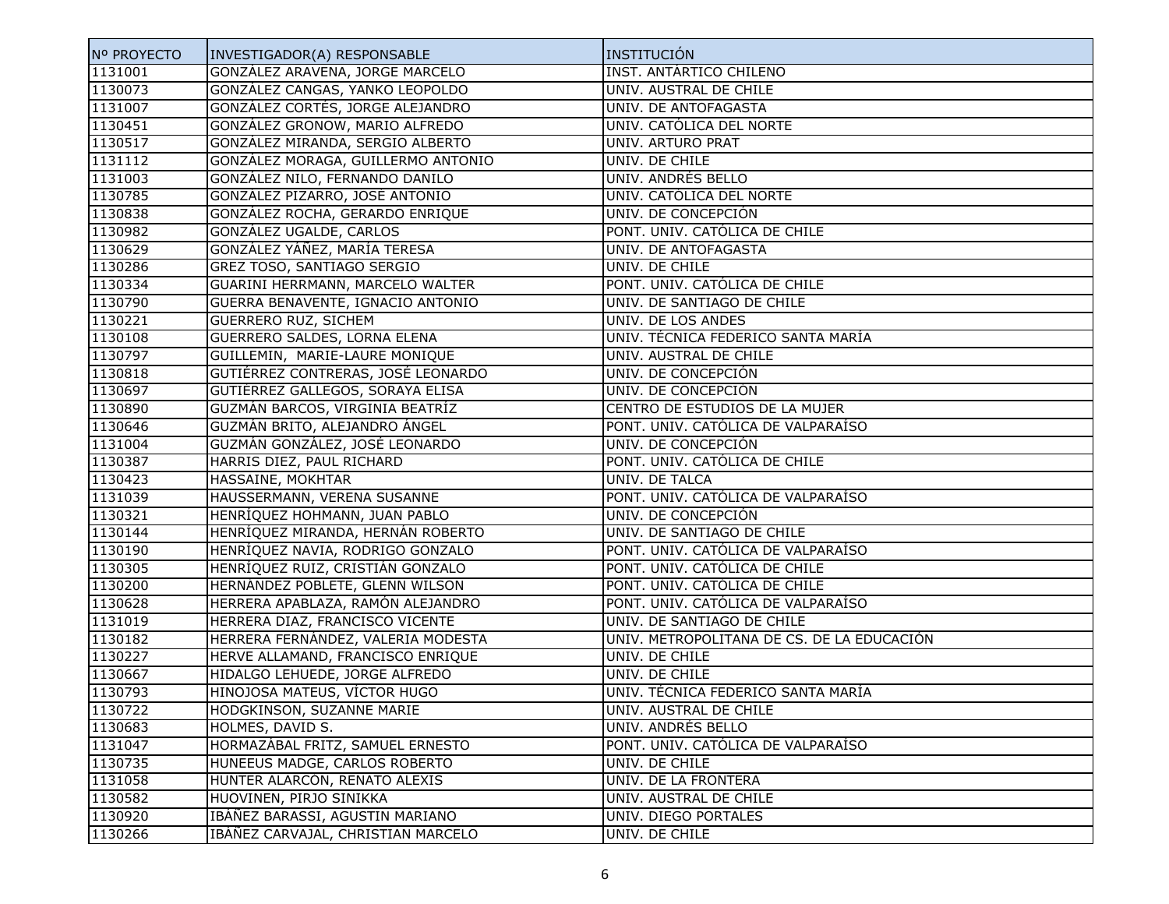| Nº PROYECTO | INVESTIGADOR(A) RESPONSABLE        | INSTITUCIÓN                                |
|-------------|------------------------------------|--------------------------------------------|
| 1131001     | GONZÁLEZ ARAVENA, JORGE MARCELO    | <b>INST. ANTÁRTICO CHILENO</b>             |
| 1130073     | GONZÁLEZ CANGAS, YANKO LEOPOLDO    | UNIV. AUSTRAL DE CHILE                     |
| 1131007     | GONZÁLEZ CORTÉS, JORGE ALEJANDRO   | UNIV. DE ANTOFAGASTA                       |
| 1130451     | GONZÁLEZ GRONOW, MARIO ALFREDO     | UNIV. CATÓLICA DEL NORTE                   |
| 1130517     | GONZÁLEZ MIRANDA, SERGIO ALBERTO   | UNIV. ARTURO PRAT                          |
| 1131112     | GONZÁLEZ MORAGA, GUILLERMO ANTONIO | UNIV. DE CHILE                             |
| 1131003     | GONZÁLEZ NILO, FERNANDO DANILO     | UNIV. ANDRÉS BELLO                         |
| 1130785     | GONZÁLEZ PIZARRO, JOSÉ ANTONIO     | UNIV. CATÓLICA DEL NORTE                   |
| 1130838     | GONZÁLEZ ROCHA, GERARDO ENRIQUE    | UNIV. DE CONCEPCIÓN                        |
| 1130982     | GONZÁLEZ UGALDE, CARLOS            | PONT. UNIV. CATÓLICA DE CHILE              |
| 1130629     | GONZÁLEZ YÁÑEZ, MARÍA TERESA       | UNIV. DE ANTOFAGASTA                       |
| 1130286     | GREZ TOSO, SANTIAGO SERGIO         | UNIV. DE CHILE                             |
| 1130334     | GUARINI HERRMANN, MARCELO WALTER   | PONT. UNIV. CATÓLICA DE CHILE              |
| 1130790     | GUERRA BENAVENTE, IGNACIO ANTONIO  | UNIV. DE SANTIAGO DE CHILE                 |
| 1130221     | <b>GUERRERO RUZ, SICHEM</b>        | UNIV. DE LOS ANDES                         |
| 1130108     | GUERRERO SALDES, LORNA ELENA       | UNIV. TÉCNICA FEDERICO SANTA MARÍA         |
| 1130797     | GUILLEMIN, MARIE-LAURE MONIQUE     | UNIV. AUSTRAL DE CHILE                     |
| 1130818     | GUTIÉRREZ CONTRERAS, JOSÉ LEONARDO | UNIV. DE CONCEPCIÓN                        |
| 1130697     | GUTIÉRREZ GALLEGOS, SORAYA ELISA   | UNIV. DE CONCEPCIÓN                        |
| 1130890     | GUZMÁN BARCOS, VIRGINIA BEATRÍZ    | CENTRO DE ESTUDIOS DE LA MUJER             |
| 1130646     | GUZMÁN BRITO, ALEJANDRO ÁNGEL      | PONT. UNIV. CATÓLICA DE VALPARAÍSO         |
| 1131004     | GUZMÁN GONZÁLEZ, JOSÉ LEONARDO     | UNIV. DE CONCEPCIÓN                        |
| 1130387     | HARRIS DIEZ, PAUL RICHARD          | PONT. UNIV. CATÓLICA DE CHILE              |
| 1130423     | HASSAINE, MOKHTAR                  | UNIV. DE TALCA                             |
| 1131039     | HAUSSERMANN, VERENA SUSANNE        | PONT. UNIV. CATÓLICA DE VALPARAÍSO         |
| 1130321     | HENRÍQUEZ HOHMANN, JUAN PABLO      | UNIV. DE CONCEPCIÓN                        |
| 1130144     | HENRÍQUEZ MIRANDA, HERNÁN ROBERTO  | UNIV. DE SANTIAGO DE CHILE                 |
| 1130190     | HENRÍQUEZ NAVIA, RODRIGO GONZALO   | PONT. UNIV. CATÓLICA DE VALPARAÍSO         |
| 1130305     | HENRÍQUEZ RUIZ, CRISTIÁN GONZALO   | PONT. UNIV. CATÓLICA DE CHILE              |
| 1130200     | HERNÁNDEZ POBLETE, GLENN WILSON    | PONT. UNIV. CATÓLICA DE CHILE              |
| 1130628     | HERRERA APABLAZA, RAMÓN ALEJANDRO  | PONT. UNIV. CATÓLICA DE VALPARAÍSO         |
| 1131019     | HERRERA DIAZ, FRANCISCO VICENTE    | UNIV. DE SANTIAGO DE CHILE                 |
| 1130182     | HERRERA FERNÁNDEZ, VALERIA MODESTA | UNIV. METROPOLITANA DE CS. DE LA EDUCACIÓN |
| 1130227     | HERVE ALLAMAND, FRANCISCO ENRIQUE  | UNIV. DE CHILE                             |
| 1130667     | HIDALGO LEHUEDE, JORGE ALFREDO     | UNIV. DE CHILE                             |
| 1130793     | HINOJOSA MATEUS, VÍCTOR HUGO       | UNIV. TÉCNICA FEDERICO SANTA MARÍA         |
| 1130722     | HODGKINSON, SUZANNE MARIE          | UNIV. AUSTRAL DE CHILE                     |
| 1130683     | HOLMES, DAVID S.                   | UNIV. ANDRÉS BELLO                         |
| 1131047     | HORMAZÁBAL FRITZ, SAMUEL ERNESTO   | PONT. UNIV. CATÓLICA DE VALPARAÍSO         |
| 1130735     | HUNEEUS MADGE, CARLOS ROBERTO      | UNIV. DE CHILE                             |
| 1131058     | HUNTER ALARCÓN, RENATO ALEXIS      | UNIV. DE LA FRONTERA                       |
| 1130582     | HUOVINEN, PIRJO SINIKKA            | UNIV. AUSTRAL DE CHILE                     |
| 1130920     | IBÁÑEZ BARASSI, AGUSTIN MARIANO    | UNIV. DIEGO PORTALES                       |
| 1130266     | IBÁÑEZ CARVAJAL, CHRISTIAN MARCELO | UNIV. DE CHILE                             |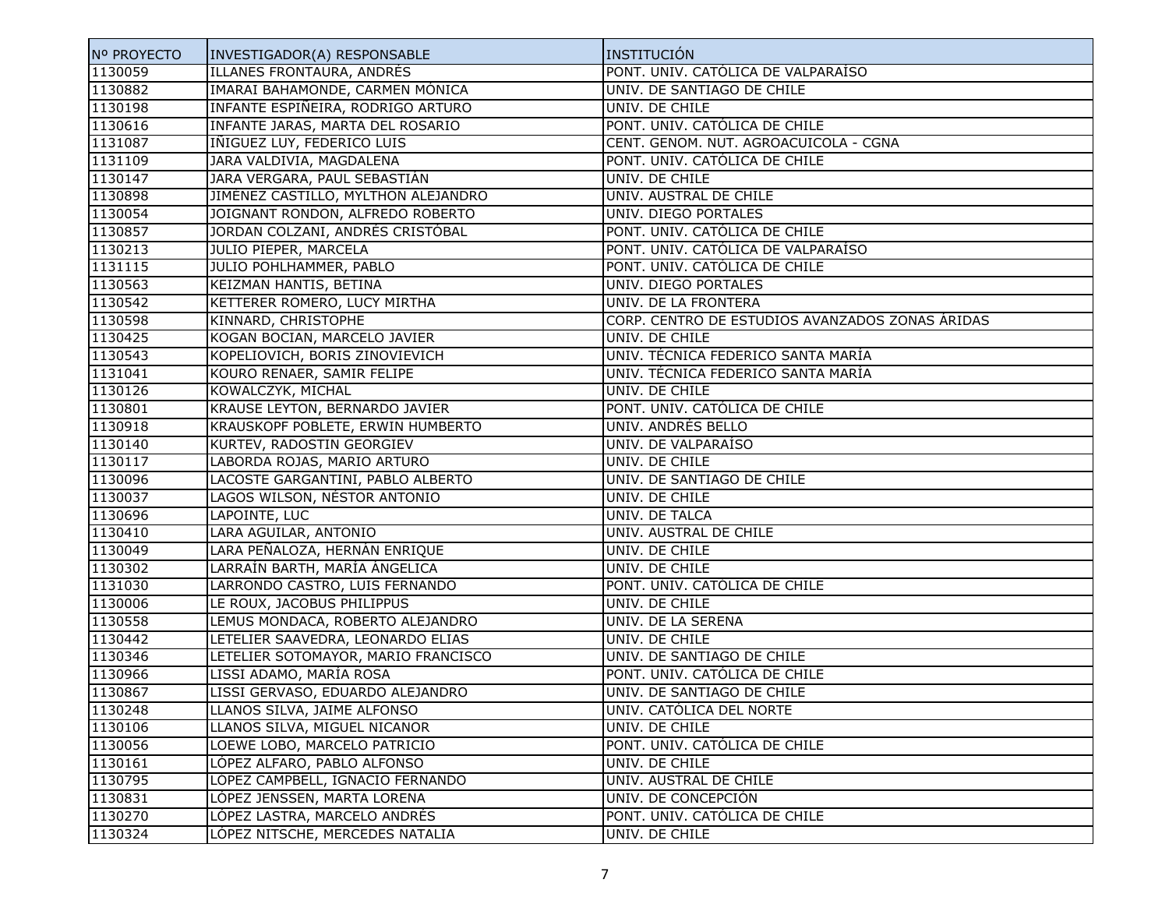| Nº PROYECTO | INVESTIGADOR(A) RESPONSABLE         | INSTITUCIÓN                                     |
|-------------|-------------------------------------|-------------------------------------------------|
| 1130059     | ILLANES FRONTAURA, ANDRÉS           | PONT. UNIV. CATÓLICA DE VALPARAÍSO              |
| 1130882     | IMARAI BAHAMONDE, CARMEN MÓNICA     | UNIV. DE SANTIAGO DE CHILE                      |
| 1130198     | INFANTE ESPIÑEIRA, RODRIGO ARTURO   | UNIV. DE CHILE                                  |
| 1130616     | INFANTE JARAS, MARTA DEL ROSARIO    | PONT. UNIV. CATÓLICA DE CHILE                   |
| 1131087     | INIGUEZ LUY, FEDERICO LUIS          | CENT. GENOM. NUT. AGROACUICOLA - CGNA           |
| 1131109     | JARA VALDIVIA, MAGDALENA            | PONT. UNIV. CATÓLICA DE CHILE                   |
| 1130147     | JARA VERGARA, PAUL SEBASTIÁN        | UNIV. DE CHILE                                  |
| 1130898     | JIMÉNEZ CASTILLO, MYLTHON ALEJANDRO | UNIV. AUSTRAL DE CHILE                          |
| 1130054     | JOIGNANT RONDON, ALFREDO ROBERTO    | UNIV. DIEGO PORTALES                            |
| 1130857     | JORDAN COLZANI, ANDRÉS CRISTÓBAL    | PONT. UNIV. CATÓLICA DE CHILE                   |
| 1130213     | JULIO PIEPER, MARCELA               | PONT. UNIV. CATÓLICA DE VALPARAÍSO              |
| 1131115     | JULIO POHLHAMMER, PABLO             | PONT. UNIV. CATÓLICA DE CHILE                   |
| 1130563     | KEIZMAN HANTIS, BETINA              | UNIV. DIEGO PORTALES                            |
| 1130542     | KETTERER ROMERO, LUCY MIRTHA        | UNIV. DE LA FRONTERA                            |
| 1130598     | KINNARD, CHRISTOPHE                 | CORP. CENTRO DE ESTUDIOS AVANZADOS ZONAS ÁRIDAS |
| 1130425     | KOGAN BOCIAN, MARCELO JAVIER        | UNIV. DE CHILE                                  |
| 1130543     | KOPELIOVICH, BORIS ZINOVIEVICH      | UNIV. TÉCNICA FEDERICO SANTA MARÍA              |
| 1131041     | KOURO RENAER, SAMIR FELIPE          | UNIV. TÉCNICA FEDERICO SANTA MARÍA              |
| 1130126     | KOWALCZYK, MICHAL                   | UNIV. DE CHILE                                  |
| 1130801     | KRAUSE LEYTON, BERNARDO JAVIER      | PONT. UNIV. CATÓLICA DE CHILE                   |
| 1130918     | KRAUSKOPF POBLETE, ERWIN HUMBERTO   | UNIV. ANDRÉS BELLO                              |
| 1130140     | KURTEV, RADOSTIN GEORGIEV           | UNIV. DE VALPARAISO                             |
| 1130117     | LABORDA ROJAS, MARIO ARTURO         | UNIV. DE CHILE                                  |
| 1130096     | LACOSTE GARGANTINI, PABLO ALBERTO   | UNIV. DE SANTIAGO DE CHILE                      |
| 1130037     | LAGOS WILSON, NÉSTOR ANTONIO        | UNIV. DE CHILE                                  |
| 1130696     | LAPOINTE, LUC                       | UNIV. DE TALCA                                  |
| 1130410     | LARA AGUILAR, ANTONIO               | UNIV. AUSTRAL DE CHILE                          |
| 1130049     | LARA PEÑALOZA, HERNÁN ENRIQUE       | UNIV. DE CHILE                                  |
| 1130302     | LARRAÍN BARTH, MARÍA ÁNGELICA       | UNIV. DE CHILE                                  |
| 1131030     | LARRONDO CASTRO, LUIS FERNANDO      | PONT. UNIV. CATÓLICA DE CHILE                   |
| 1130006     | LE ROUX, JACOBUS PHILIPPUS          | UNIV. DE CHILE                                  |
| 1130558     | LEMUS MONDACA, ROBERTO ALEJANDRO    | UNIV. DE LA SERENA                              |
| 1130442     | LETELIER SAAVEDRA, LEONARDO ELIAS   | UNIV. DE CHILE                                  |
| 1130346     | LETELIER SOTOMAYOR, MARIO FRANCISCO | UNIV. DE SANTIAGO DE CHILE                      |
| 1130966     | LISSI ADAMO, MARÍA ROSA             | PONT. UNIV. CATÓLICA DE CHILE                   |
| 1130867     | LISSI GERVASO, EDUARDO ALEJANDRO    | UNIV. DE SANTIAGO DE CHILE                      |
| 1130248     | LLANOS SILVA, JAIME ALFONSO         | UNIV. CATÓLICA DEL NORTE                        |
| 1130106     | LLANOS SILVA, MIGUEL NICANOR        | UNIV. DE CHILE                                  |
| 1130056     | LOEWE LOBO, MARCELO PATRICIO        | PONT. UNIV. CATÓLICA DE CHILE                   |
| 1130161     | LÓPEZ ALFARO, PABLO ALFONSO         | UNIV. DE CHILE                                  |
| 1130795     | LÓPEZ CAMPBELL, IGNACIO FERNANDO    | UNIV. AUSTRAL DE CHILE                          |
| 1130831     | LÓPEZ JENSSEN, MARTA LORENA         | UNIV. DE CONCEPCIÓN                             |
| 1130270     | LÓPEZ LASTRA, MARCELO ANDRÉS        | PONT. UNIV. CATÓLICA DE CHILE                   |
| 1130324     | LÓPEZ NITSCHE, MERCEDES NATALIA     | UNIV. DE CHILE                                  |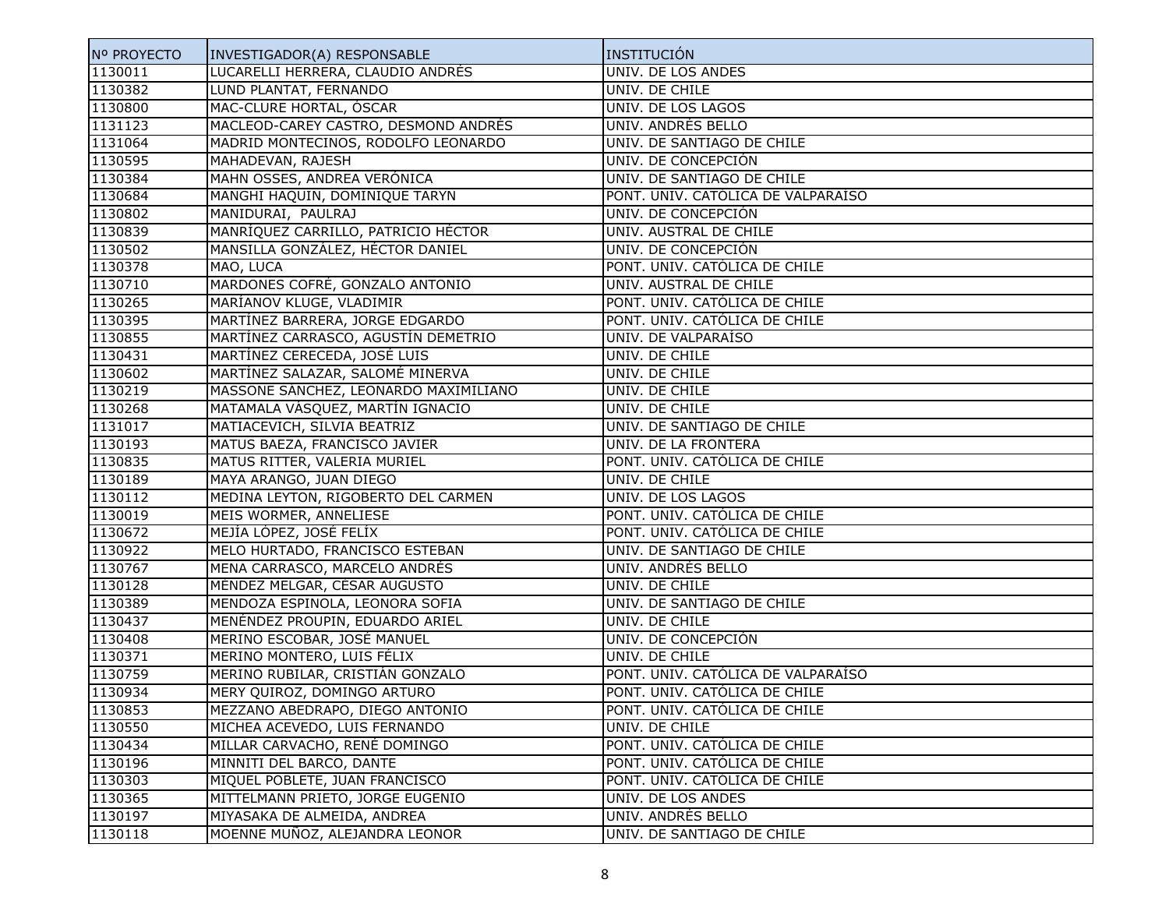| Nº PROYECTO | INVESTIGADOR(A) RESPONSABLE           | INSTITUCIÓN                        |
|-------------|---------------------------------------|------------------------------------|
| 1130011     | LUCARELLI HERRERA, CLAUDIO ANDRÉS     | UNIV. DE LOS ANDES                 |
| 1130382     | LUND PLANTAT, FERNANDO                | UNIV. DE CHILE                     |
| 1130800     | MAC-CLURE HORTAL, ÓSCAR               | UNIV. DE LOS LAGOS                 |
| 1131123     | MACLEOD-CAREY CASTRO, DESMOND ANDRÉS  | UNIV. ANDRÉS BELLO                 |
| 1131064     | MADRID MONTECINOS, RODOLFO LEONARDO   | UNIV. DE SANTIAGO DE CHILE         |
| 1130595     | MAHADEVAN, RAJESH                     | UNIV. DE CONCEPCIÓN                |
| 1130384     | MAHN OSSES, ANDREA VERÓNICA           | UNIV. DE SANTIAGO DE CHILE         |
| 1130684     | MANGHI HAQUIN, DOMINIQUE TARYN        | PONT. UNIV. CATÓLICA DE VALPARAÍSO |
| 1130802     | MANIDURAI, PAULRAJ                    | UNIV. DE CONCEPCIÓN                |
| 1130839     | MANRÍQUEZ CARRILLO, PATRICIO HÉCTOR   | UNIV. AUSTRAL DE CHILE             |
| 1130502     | MANSILLA GONZÁLEZ, HÉCTOR DANIEL      | UNIV. DE CONCEPCIÓN                |
| 1130378     | MAO, LUCA                             | PONT. UNIV. CATÓLICA DE CHILE      |
| 1130710     | MARDONES COFRÉ, GONZALO ANTONIO       | UNIV. AUSTRAL DE CHILE             |
| 1130265     | MARÍANOV KLUGE, VLADIMIR              | PONT. UNIV. CATÓLICA DE CHILE      |
| 1130395     | MARTÍNEZ BARRERA, JORGE EDGARDO       | PONT. UNIV. CATÓLICA DE CHILE      |
| 1130855     | MARTÍNEZ CARRASCO, AGUSTÍN DEMETRIO   | UNIV. DE VALPARAÍSO                |
| 1130431     | MARTÍNEZ CERECEDA, JOSÉ LUIS          | UNIV. DE CHILE                     |
| 1130602     | MARTÍNEZ SALAZAR, SALOMÉ MINERVA      | UNIV. DE CHILE                     |
| 1130219     | MASSONE SÁNCHEZ, LEONARDO MAXIMILIANO | UNIV. DE CHILE                     |
| 1130268     | MATAMALA VÁSQUEZ, MARTÍN IGNACIO      | UNIV. DE CHILE                     |
| 1131017     | MATIACEVICH, SILVIA BEATRIZ           | UNIV. DE SANTIAGO DE CHILE         |
| 1130193     | MATUS BAEZA, FRANCISCO JAVIER         | UNIV. DE LA FRONTERA               |
| 1130835     | MATUS RITTER, VALERIA MURIEL          | PONT. UNIV. CATÓLICA DE CHILE      |
| 1130189     | MAYA ARANGO, JUAN DIEGO               | UNIV. DE CHILE                     |
| 1130112     | MEDINA LEYTON, RIGOBERTO DEL CARMEN   | UNIV. DE LOS LAGOS                 |
| 1130019     | MEIS WORMER, ANNELIESE                | PONT. UNIV. CATÓLICA DE CHILE      |
| 1130672     | MEJÍA LÓPEZ, JOSÉ FELÍX               | PONT. UNIV. CATÓLICA DE CHILE      |
| 1130922     | MELO HURTADO, FRANCISCO ESTEBAN       | UNIV. DE SANTIAGO DE CHILE         |
| 1130767     | MENA CARRASCO, MARCELO ANDRÉS         | UNIV. ANDRÉS BELLO                 |
| 1130128     | MÉNDEZ MELGAR, CÉSAR AUGUSTO          | UNIV. DE CHILE                     |
| 1130389     | MENDOZA ESPINOLA, LEONORA SOFIA       | UNIV. DE SANTIAGO DE CHILE         |
| 1130437     | MENÉNDEZ PROUPIN, EDUARDO ARIEL       | UNIV. DE CHILE                     |
| 1130408     | MERINO ESCOBAR, JOSÉ MANUEL           | UNIV. DE CONCEPCIÓN                |
| 1130371     | MERINO MONTERO, LUIS FÉLIX            | UNIV. DE CHILE                     |
| 1130759     | MERINO RUBILAR, CRISTIÁN GONZALO      | PONT. UNIV. CATÓLICA DE VALPARAÍSO |
| 1130934     | MERY QUIROZ, DOMINGO ARTURO           | PONT. UNIV. CATÓLICA DE CHILE      |
| 1130853     | MEZZANO ABEDRAPO, DIEGO ANTONIO       | PONT. UNIV. CATÓLICA DE CHILE      |
| 1130550     | MICHEA ACEVEDO, LUIS FERNANDO         | UNIV. DE CHILE                     |
| 1130434     | MILLAR CARVACHO, RENÉ DOMINGO         | PONT. UNIV. CATÓLICA DE CHILE      |
| 1130196     | MINNITI DEL BARCO, DANTE              | PONT. UNIV. CATÓLICA DE CHILE      |
| 1130303     | MIQUEL POBLETE, JUAN FRANCISCO        | PONT. UNIV. CATÓLICA DE CHILE      |
| 1130365     | MITTELMANN PRIETO, JORGE EUGENIO      | UNIV. DE LOS ANDES                 |
| 1130197     | MIYASAKA DE ALMEIDA, ANDREA           | UNIV. ANDRÉS BELLO                 |
| 1130118     | MOENNE MUÑOZ, ALEJANDRA LEONOR        | UNIV. DE SANTIAGO DE CHILE         |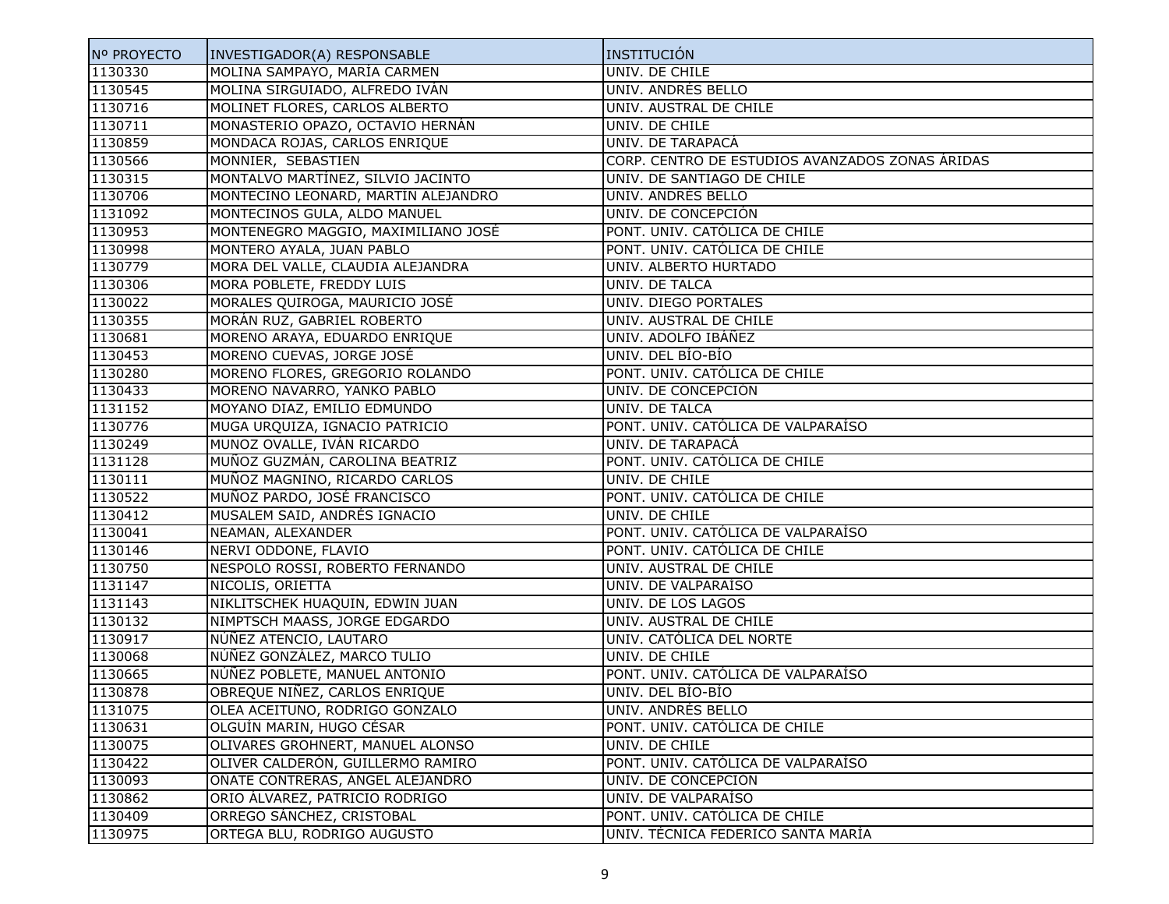| Nº PROYECTO | INVESTIGADOR(A) RESPONSABLE         | <b>INSTITUCIÓN</b>                              |
|-------------|-------------------------------------|-------------------------------------------------|
| 1130330     | MOLINA SAMPAYO, MARÍA CARMEN        | UNIV. DE CHILE                                  |
| 1130545     | MOLINA SIRGUIADO, ALFREDO IVÁN      | UNIV. ANDRÉS BELLO                              |
| 1130716     | MOLINET FLORES, CARLOS ALBERTO      | UNIV. AUSTRAL DE CHILE                          |
| 1130711     | MONASTERIO OPAZO, OCTAVIO HERNÁN    | UNIV. DE CHILE                                  |
| 1130859     | MONDACA ROJAS, CARLOS ENRIQUE       | UNIV. DE TARAPACÁ                               |
| 1130566     | MONNIER, SEBASTIEN                  | CORP. CENTRO DE ESTUDIOS AVANZADOS ZONAS ÁRIDAS |
| 1130315     | MONTALVO MARTÍNEZ, SILVIO JACINTO   | UNIV. DE SANTIAGO DE CHILE                      |
| 1130706     | MONTECINO LEONARD, MARTÍN ALEJANDRO | UNIV. ANDRÉS BELLO                              |
| 1131092     | MONTECINOS GULA, ALDO MANUEL        | UNIV. DE CONCEPCIÓN                             |
| 1130953     | MONTENEGRO MAGGIO, MAXIMILIANO JOSÉ | PONT. UNIV. CATÓLICA DE CHILE                   |
| 1130998     | MONTERO AYALA, JUAN PABLO           | PONT. UNIV. CATÓLICA DE CHILE                   |
| 1130779     | MORA DEL VALLE, CLAUDIA ALEJANDRA   | UNIV. ALBERTO HURTADO                           |
| 1130306     | MORA POBLETE, FREDDY LUIS           | UNIV. DE TALCA                                  |
| 1130022     | MORALES QUIROGA, MAURICIO JOSÉ      | UNIV. DIEGO PORTALES                            |
| 1130355     | MORÁN RUZ, GABRIEL ROBERTO          | UNIV. AUSTRAL DE CHILE                          |
| 1130681     | MORENO ARAYA, EDUARDO ENRIQUE       | UNIV. ADOLFO IBÁÑEZ                             |
| 1130453     | MORENO CUEVAS, JORGE JOSÉ           | UNIV. DEL BÍO-BÍO                               |
| 1130280     | MORENO FLORES, GREGORIO ROLANDO     | PONT. UNIV. CATÓLICA DE CHILE                   |
| 1130433     | MORENO NAVARRO, YANKO PABLO         | UNIV. DE CONCEPCIÓN                             |
| 1131152     | MOYANO DIAZ, EMILIO EDMUNDO         | UNIV. DE TALCA                                  |
| 1130776     | MUGA URQUIZA, IGNACIO PATRICIO      | PONT. UNIV. CATÓLICA DE VALPARAÍSO              |
| 1130249     | MUNOZ OVALLE, IVÁN RICARDO          | UNIV. DE TARAPACÁ                               |
| 1131128     | MUÑOZ GUZMÁN, CAROLINA BEATRIZ      | PONT. UNIV. CATÓLICA DE CHILE                   |
| 1130111     | MUÑOZ MAGNINO, RICARDO CARLOS       | UNIV. DE CHILE                                  |
| 1130522     | MUÑOZ PARDO, JOSÉ FRANCISCO         | PONT. UNIV. CATÓLICA DE CHILE                   |
| 1130412     | MUSALEM SAID, ANDRÉS IGNACIO        | UNIV. DE CHILE                                  |
| 1130041     | NEAMAN, ALEXANDER                   | PONT. UNIV. CATÓLICA DE VALPARAÍSO              |
| 1130146     | NERVI ODDONE, FLAVIO                | PONT. UNIV. CATÓLICA DE CHILE                   |
| 1130750     | NESPOLO ROSSI, ROBERTO FERNANDO     | UNIV. AUSTRAL DE CHILE                          |
| 1131147     | NICOLIS, ORIETTA                    | UNIV. DE VALPARAÍSO                             |
| 1131143     | NIKLITSCHEK HUAQUIN, EDWIN JUAN     | UNIV. DE LOS LAGOS                              |
| 1130132     | NIMPTSCH MAASS, JORGE EDGARDO       | UNIV. AUSTRAL DE CHILE                          |
| 1130917     | NÚÑEZ ATENCIO, LAUTARO              | UNIV. CATÓLICA DEL NORTE                        |
| 1130068     | NÚÑEZ GONZÁLEZ, MARCO TULIO         | UNIV. DE CHILE                                  |
| 1130665     | NÚÑEZ POBLETE, MANUEL ANTONIO       | PONT. UNIV. CATÓLICA DE VALPARAÍSO              |
| 1130878     | OBREQUE NIÑEZ, CARLOS ENRIQUE       | UNIV. DEL BIO-BIO                               |
| 1131075     | OLEA ACEITUNO, RODRIGO GONZALO      | UNIV. ANDRÉS BELLO                              |
| 1130631     | OLGUÍN MARIN, HUGO CÉSAR            | PONT. UNIV. CATÓLICA DE CHILE                   |
| 1130075     | OLIVARES GROHNERT, MANUEL ALONSO    | UNIV. DE CHILE                                  |
| 1130422     | OLIVER CALDERÓN, GUILLERMO RAMIRO   | PONT. UNIV. CATÓLICA DE VALPARAÍSO              |
| 1130093     | OÑATE CONTRERAS, ÁNGEL ALEJANDRO    | UNIV. DE CONCEPCIÓN                             |
| 1130862     | ORIO ÁLVAREZ, PATRICIO RODRIGO      | UNIV. DE VALPARAÍSO                             |
| 1130409     | ORREGO SÁNCHEZ, CRISTOBAL           | PONT. UNIV. CATÓLICA DE CHILE                   |
| 1130975     | ORTEGA BLU, RODRIGO AUGUSTO         | UNIV. TÉCNICA FEDERICO SANTA MARÍA              |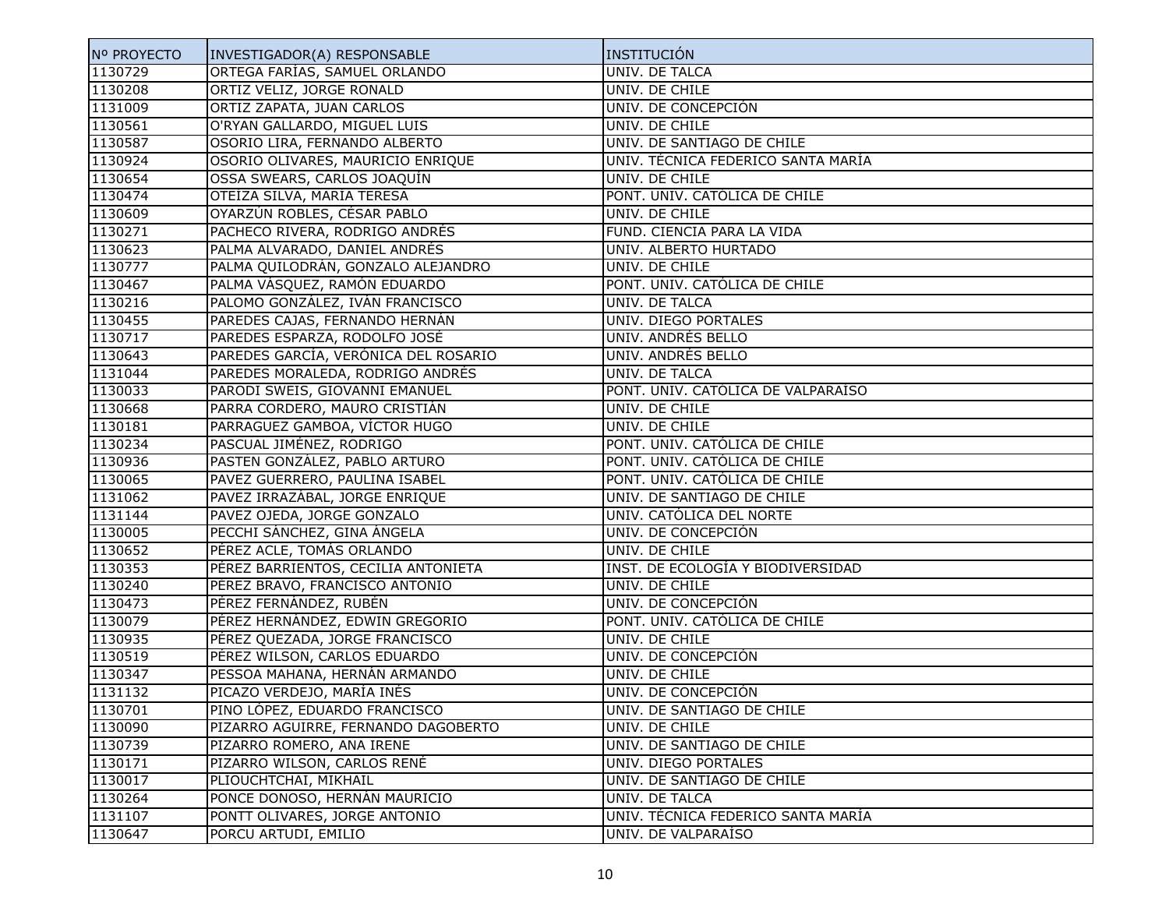| Nº PROYECTO | INVESTIGADOR(A) RESPONSABLE          | INSTITUCIÓN                        |
|-------------|--------------------------------------|------------------------------------|
| 1130729     | ORTEGA FARÍAS, SAMUEL ORLANDO        | UNIV. DE TALCA                     |
| 1130208     | ORTIZ VELIZ, JORGE RONALD            | UNIV. DE CHILE                     |
| 1131009     | ORTIZ ZAPATA, JUAN CARLOS            | UNIV. DE CONCEPCIÓN                |
| 1130561     | O'RYAN GALLARDO, MIGUEL LUIS         | UNIV. DE CHILE                     |
| 1130587     | OSORIO LIRA, FERNANDO ALBERTO        | UNIV. DE SANTIAGO DE CHILE         |
| 1130924     | OSORIO OLIVARES, MAURICIO ENRIQUE    | UNIV. TÉCNICA FEDERICO SANTA MARÍA |
| 1130654     | OSSA SWEARS, CARLOS JOAQUÍN          | UNIV. DE CHILE                     |
| 1130474     | OTEÍZA SILVA, MARÍA TERESA           | PONT. UNIV. CATÓLICA DE CHILE      |
| 1130609     | OYARZÚN ROBLES, CÉSAR PABLO          | UNIV. DE CHILE                     |
| 1130271     | PACHECO RIVERA, RODRIGO ANDRÉS       | FUND. CIENCIA PARA LA VIDA         |
| 1130623     | PALMA ALVARADO, DANIEL ANDRÉS        | UNIV. ALBERTO HURTADO              |
| 1130777     | PALMA QUILODRÁN, GONZALO ALEJANDRO   | UNIV. DE CHILE                     |
| 1130467     | PALMA VÁSQUEZ, RAMÓN EDUARDO         | PONT. UNIV. CATÓLICA DE CHILE      |
| 1130216     | PALOMO GONZÁLEZ, IVÁN FRANCISCO      | UNIV. DE TALCA                     |
| 1130455     | PAREDES CAJAS, FERNANDO HERNÁN       | UNIV. DIEGO PORTALES               |
| 1130717     | PAREDES ESPARZA, RODOLFO JOSÉ        | UNIV. ANDRÉS BELLO                 |
| 1130643     | PAREDES GARCÍA, VERÓNICA DEL ROSARIO | UNIV. ANDRÉS BELLO                 |
| 1131044     | PAREDES MORALEDA, RODRIGO ANDRÉS     | UNIV. DE TALCA                     |
| 1130033     | PARODI SWEIS, GIOVANNI EMANUEL       | PONT. UNIV. CATÓLICA DE VALPARAÍSO |
| 1130668     | PARRA CORDERO, MAURO CRISTIÁN        | UNIV. DE CHILE                     |
| 1130181     | PARRAGUEZ GAMBOA, VÍCTOR HUGO        | UNIV. DE CHILE                     |
| 1130234     | PASCUAL JIMÉNEZ, RODRIGO             | PONT. UNIV. CATÓLICA DE CHILE      |
| 1130936     | PASTEN GONZÁLEZ, PABLO ARTURO        | PONT. UNIV. CATÓLICA DE CHILE      |
| 1130065     | PAVEZ GUERRERO, PAULINA ISABEL       | PONT. UNIV. CATÓLICA DE CHILE      |
| 1131062     | PAVEZ IRRAZÁBAL, JORGE ENRIQUE       | UNIV. DE SANTIAGO DE CHILE         |
| 1131144     | PAVEZ OJEDA, JORGE GONZALO           | UNIV. CATÓLICA DEL NORTE           |
| 1130005     | PECCHI SÁNCHEZ, GINA ÁNGELA          | UNIV. DE CONCEPCIÓN                |
| 1130652     | PÉREZ ACLE, TOMÁS ORLANDO            | UNIV. DE CHILE                     |
| 1130353     | PÉREZ BARRIENTOS, CECILIA ANTONIETA  | INST. DE ECOLOGÍA Y BIODIVERSIDAD  |
| 1130240     | PÉREZ BRAVO, FRANCISCO ANTONIO       | UNIV. DE CHILE                     |
| 1130473     | PÉREZ FERNÁNDEZ, RUBÉN               | UNIV. DE CONCEPCIÓN                |
| 1130079     | PÉREZ HERNÁNDEZ, EDWIN GREGORIO      | PONT. UNIV. CATÓLICA DE CHILE      |
| 1130935     | PÉREZ QUEZADA, JORGE FRANCISCO       | UNIV. DE CHILE                     |
| 1130519     | PÉREZ WILSON, CARLOS EDUARDO         | UNIV. DE CONCEPCIÓN                |
| 1130347     | PESSOA MAHANA, HERNÁN ARMANDO        | UNIV. DE CHILE                     |
| 1131132     | PICAZO VERDEJO, MARÍA INÉS           | UNIV. DE CONCEPCIÓN                |
| 1130701     | PINO LÓPEZ, EDUARDO FRANCISCO        | UNIV. DE SANTIAGO DE CHILE         |
| 1130090     | PIZARRO AGUIRRE, FERNANDO DAGOBERTO  | UNIV. DE CHILE                     |
| 1130739     | PIZARRO ROMERO, ANA IRENE            | UNIV. DE SANTIAGO DE CHILE         |
| 1130171     | PIZARRO WILSON, CARLOS RENÉ          | <b>UNIV. DIEGO PORTALES</b>        |
| 1130017     | PLIOUCHTCHAI, MIKHAIL                | UNIV. DE SANTIAGO DE CHILE         |
| 1130264     | PONCE DONOSO, HERNÁN MAURICIO        | UNIV. DE TALCA                     |
| 1131107     | PONTT OLIVARES, JORGE ANTONIO        | UNIV. TÉCNICA FEDERICO SANTA MARÍA |
| 1130647     | PORCU ARTUDI, EMILIO                 | UNIV. DE VALPARAÍSO                |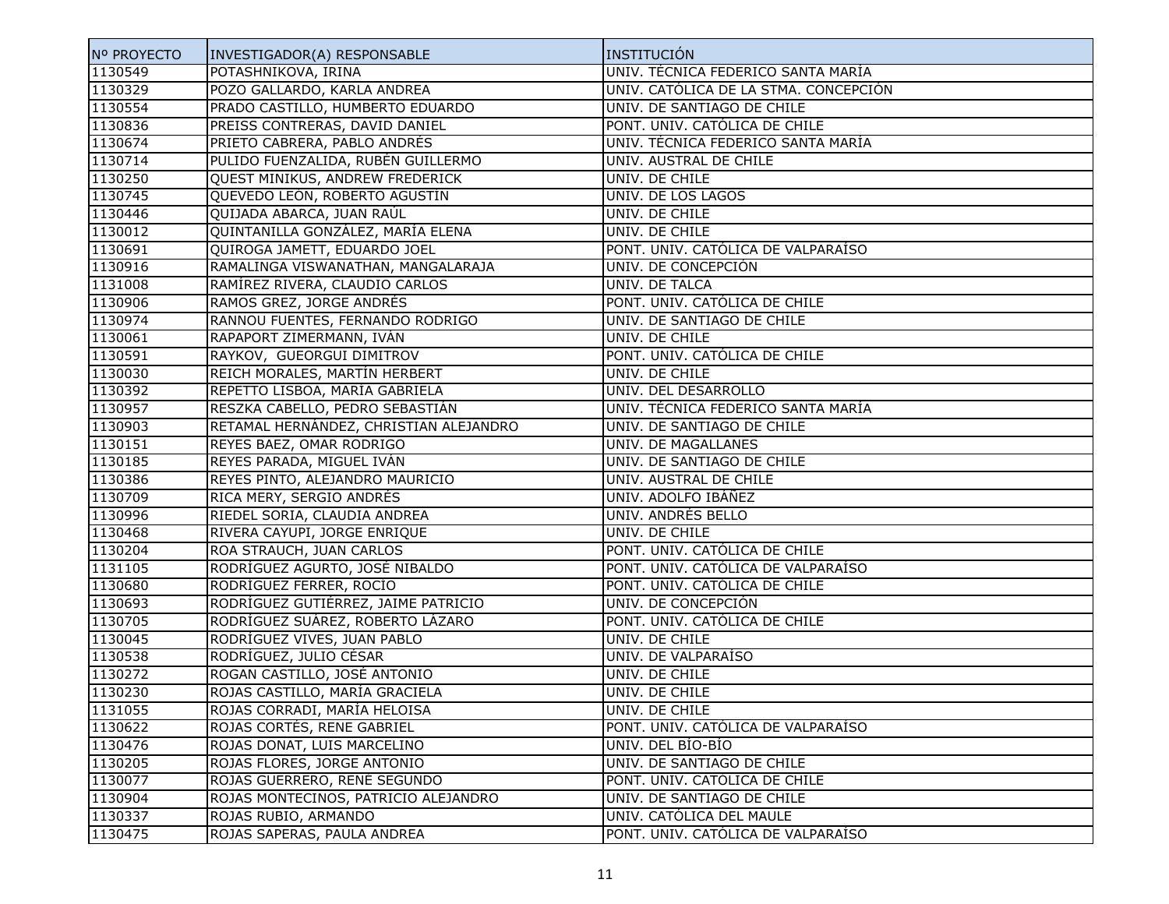| Nº PROYECTO | INVESTIGADOR(A) RESPONSABLE            | INSTITUCIÓN                           |
|-------------|----------------------------------------|---------------------------------------|
| 1130549     | POTASHNIKOVA, IRINA                    | UNIV. TÉCNICA FEDERICO SANTA MARÍA    |
| 1130329     | POZO GALLARDO, KARLA ANDREA            | UNIV. CATÓLICA DE LA STMA. CONCEPCIÓN |
| 1130554     | PRADO CASTILLO, HUMBERTO EDUARDO       | UNIV. DE SANTIAGO DE CHILE            |
| 1130836     | PREISS CONTRERAS, DAVID DANIEL         | PONT. UNIV. CATÓLICA DE CHILE         |
| 1130674     | PRIETO CABRERA, PABLO ANDRÉS           | UNIV. TÉCNICA FEDERICO SANTA MARÍA    |
| 1130714     | PULIDO FUENZALIDA, RUBÉN GUILLERMO     | UNIV. AUSTRAL DE CHILE                |
| 1130250     | QUEST MINIKUS, ANDREW FREDERICK        | UNIV. DE CHILE                        |
| 1130745     | QUEVEDO LEÓN, ROBERTO AGUSTÍN          | UNIV. DE LOS LAGOS                    |
| 1130446     | QUIJADA ABARCA, JUAN RAÚL              | UNIV. DE CHILE                        |
| 1130012     | QUINTANILLA GONZÁLEZ, MARÍA ELENA      | UNIV. DE CHILE                        |
| 1130691     | QUIROGA JAMETT, EDUARDO JOEL           | PONT. UNIV. CATÓLICA DE VALPARAÍSO    |
| 1130916     | RAMALINGA VISWANATHAN, MANGALARAJA     | UNIV. DE CONCEPCIÓN                   |
| 1131008     | RAMÍREZ RIVERA, CLAUDIO CARLOS         | UNIV. DE TALCA                        |
| 1130906     | RAMOS GREZ, JORGE ANDRÉS               | PONT. UNIV. CATÓLICA DE CHILE         |
| 1130974     | RANNOU FUENTES, FERNANDO RODRIGO       | UNIV. DE SANTIAGO DE CHILE            |
| 1130061     | RAPAPORT ZIMERMANN, IVÁN               | UNIV. DE CHILE                        |
| 1130591     | RAYKOV, GUEORGUI DIMITROV              | PONT. UNIV. CATOLICA DE CHILE         |
| 1130030     | REICH MORALES, MARTIN HERBERT          | UNIV. DE CHILE                        |
| 1130392     | REPETTO LISBOA, MARÍA GABRIELA         | UNIV. DEL DESARROLLO                  |
| 1130957     | RESZKA CABELLO, PEDRO SEBASTIÁN        | UNIV. TÉCNICA FEDERICO SANTA MARÍA    |
| 1130903     | RETAMAL HERNÁNDEZ, CHRISTIAN ALEJANDRO | UNIV. DE SANTIAGO DE CHILE            |
| 1130151     | REYES BAEZ, OMAR RODRIGO               | UNIV. DE MAGALLANES                   |
| 1130185     | REYES PARADA, MIGUEL IVÁN              | UNIV. DE SANTIAGO DE CHILE            |
| 1130386     | REYES PINTO, ALEJANDRO MAURICIO        | UNIV. AUSTRAL DE CHILE                |
| 1130709     | RICA MERY, SERGIO ANDRÉS               | UNIV. ADOLFO IBÁÑEZ                   |
| 1130996     | RIEDEL SORIA, CLAUDIA ANDREA           | UNIV. ANDRÉS BELLO                    |
| 1130468     | RIVERA CAYUPI, JORGE ENRIQUE           | UNIV. DE CHILE                        |
| 1130204     | ROA STRAUCH, JUAN CARLOS               | PONT. UNIV. CATÓLICA DE CHILE         |
| 1131105     | RODRÍGUEZ AGURTO, JOSÉ NIBALDO         | PONT. UNIV. CATÓLICA DE VALPARAÍSO    |
| 1130680     | RODRÍGUEZ FERRER, ROCÍO                | PONT. UNIV. CATÓLICA DE CHILE         |
| 1130693     | RODRÍGUEZ GUTIÉRREZ, JAIME PATRICIO    | UNIV. DE CONCEPCIÓN                   |
| 1130705     | RODRÍGUEZ SUÁREZ, ROBERTO LÁZARO       | PONT. UNIV. CATÓLICA DE CHILE         |
| 1130045     | RODRÍGUEZ VIVES, JUAN PABLO            | UNIV. DE CHILE                        |
| 1130538     | RODRÍGUEZ, JULIO CÉSAR                 | UNIV. DE VALPARAÍSO                   |
| 1130272     | ROGAN CASTILLO, JOSÉ ANTONIO           | UNIV. DE CHILE                        |
| 1130230     | ROJAS CASTILLO, MARÍA GRACIELA         | UNIV. DE CHILE                        |
| 1131055     | ROJAS CORRADI, MARÍA HELOISA           | UNIV. DE CHILE                        |
| 1130622     | ROJAS CORTÉS, RENE GABRIEL             | PONT. UNIV. CATÓLICA DE VALPARAÍSO    |
| 1130476     | ROJAS DONAT, LUIS MARCELINO            | UNIV. DEL BÍO-BÍO                     |
| 1130205     | ROJAS FLORES, JORGE ANTONIO            | UNIV. DE SANTIAGO DE CHILE            |
| 1130077     | ROJAS GUERRERO, RENÉ SEGUNDO           | PONT. UNIV. CATÓLICA DE CHILE         |
| 1130904     | ROJAS MONTECINOS, PATRICIO ALEJANDRO   | UNIV. DE SANTIAGO DE CHILE            |
| 1130337     | ROJAS RUBIO, ARMANDO                   | UNIV. CATÓLICA DEL MAULE              |
| 1130475     | ROJAS SAPERAS, PAULA ANDREA            | PONT. UNIV. CATÓLICA DE VALPARAÍSO    |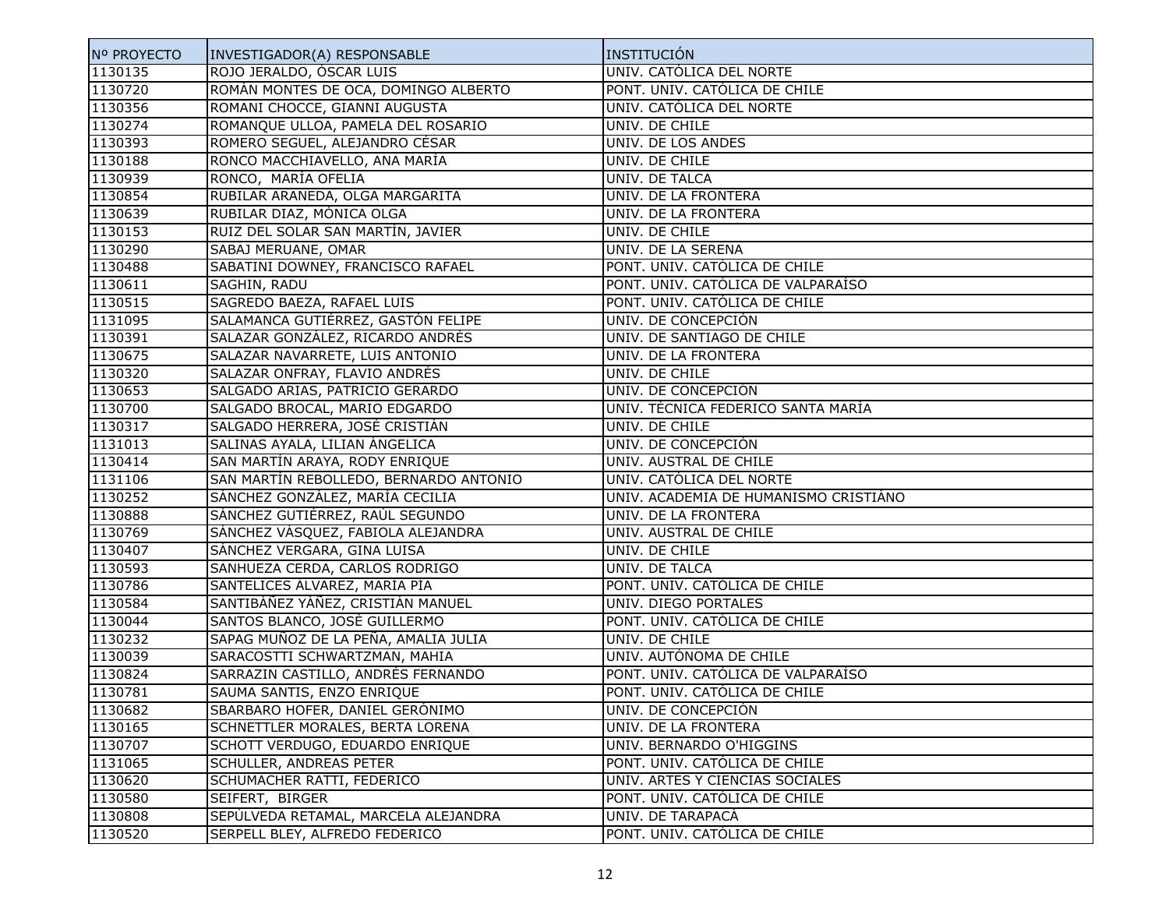| Nº PROYECTO | INVESTIGADOR(A) RESPONSABLE            | INSTITUCIÓN                           |
|-------------|----------------------------------------|---------------------------------------|
| 1130135     | ROJO JERALDO, ÓSCAR LUIS               | UNIV. CATÓLICA DEL NORTE              |
| 1130720     | ROMÁN MONTES DE OCA, DOMINGO ALBERTO   | PONT. UNIV. CATÓLICA DE CHILE         |
| 1130356     | ROMANI CHOCCE, GIANNI AUGUSTA          | UNIV. CATÓLICA DEL NORTE              |
| 1130274     | ROMANQUE ULLOA, PAMELA DEL ROSARIO     | UNIV. DE CHILE                        |
| 1130393     | ROMERO SEGUEL, ALEJANDRO CÉSAR         | UNIV. DE LOS ANDES                    |
| 1130188     | RONCO MACCHIAVELLO, ANA MARÍA          | UNIV. DE CHILE                        |
| 1130939     | RONCO, MARÍA OFELIA                    | UNIV. DE TALCA                        |
| 1130854     | RUBILAR ARANEDA, OLGA MARGARITA        | UNIV. DE LA FRONTERA                  |
| 1130639     | RUBILAR DIAZ, MÓNICA OLGA              | UNIV. DE LA FRONTERA                  |
| 1130153     | RUIZ DEL SOLAR SAN MARTÍN, JAVIER      | UNIV. DE CHILE                        |
| 1130290     | SABAJ MERUANE, OMAR                    | UNIV. DE LA SERENA                    |
| 1130488     | SABATINI DOWNEY, FRANCISCO RAFAEL      | PONT. UNIV. CATÓLICA DE CHILE         |
| 1130611     | SAGHIN, RADU                           | PONT. UNIV. CATÓLICA DE VALPARAÍSO    |
| 1130515     | SAGREDO BAEZA, RAFAEL LUIS             | PONT. UNIV. CATÓLICA DE CHILE         |
| 1131095     | SALAMANCA GUTIÉRREZ, GASTÓN FELIPE     | UNIV. DE CONCEPCIÓN                   |
| 1130391     | SALAZAR GONZÁLEZ, RICARDO ANDRÉS       | UNIV. DE SANTIAGO DE CHILE            |
| 1130675     | SALAZAR NAVARRETE, LUIS ANTONIO        | UNIV. DE LA FRONTERA                  |
| 1130320     | SALAZAR ONFRAY, FLAVIO ANDRÉS          | UNIV. DE CHILE                        |
| 1130653     | SALGADO ARIAS, PATRICIO GERARDO        | UNIV. DE CONCEPCIÓN                   |
| 1130700     | SALGADO BROCAL, MARIO EDGARDO          | UNIV. TÉCNICA FEDERICO SANTA MARÍA    |
| 1130317     | SALGADO HERRERA, JOSÉ CRISTIÁN         | UNIV. DE CHILE                        |
| 1131013     | SALINAS AYALA, LILIAN ÁNGELICA         | UNIV. DE CONCEPCIÓN                   |
| 1130414     | SAN MARTÍN ARAYA, RODY ENRIQUE         | UNIV. AUSTRAL DE CHILE                |
| 1131106     | SAN MARTÍN REBOLLEDO, BERNARDO ANTONIO | UNIV. CATÓLICA DEL NORTE              |
| 1130252     | SÁNCHEZ GONZÁLEZ, MARÍA CECILIA        | UNIV. ACADEMIA DE HUMANISMO CRISTIÁNO |
| 1130888     | SÁNCHEZ GUTIÉRREZ, RAÚL SEGUNDO        | UNIV. DE LA FRONTERA                  |
| 1130769     | SÁNCHEZ VÁSQUEZ, FABIOLA ALEJANDRA     | UNIV. AUSTRAL DE CHILE                |
| 1130407     | SÁNCHEZ VERGARA, GINA LUISA            | UNIV. DE CHILE                        |
| 1130593     | SANHUEZA CERDA, CARLOS RODRIGO         | UNIV. DE TALCA                        |
| 1130786     | SANTELICES ÁLVAREZ, MARÍA PÍA          | PONT. UNIV. CATÓLICA DE CHILE         |
| 1130584     | SANTIBÁÑEZ YÁÑEZ, CRISTIÁN MANUEL      | UNIV. DIEGO PORTALES                  |
| 1130044     | SANTOS BLANCO, JOSÉ GUILLERMO          | PONT. UNIV. CATÓLICA DE CHILE         |
| 1130232     | SAPAG MUÑOZ DE LA PEÑA, AMALIA JULIA   | UNIV. DE CHILE                        |
| 1130039     | SARACOSTTI SCHWARTZMAN, MAHIA          | UNIV. AUTÓNOMA DE CHILE               |
| 1130824     | SARRAZIN CASTILLO, ANDRÉS FERNANDO     | PONT. UNIV. CATÓLICA DE VALPARAÍSO    |
| 1130781     | SAUMA SANTIS, ENZO ENRIQUE             | PONT. UNIV. CATÓLICA DE CHILE         |
| 1130682     | SBARBARO HOFER, DANIEL GERÓNIMO        | UNIV. DE CONCEPCION                   |
| 1130165     | SCHNETTLER MORALES, BERTA LORENA       | UNIV. DE LA FRONTERA                  |
| 1130707     | SCHOTT VERDUGO, EDUARDO ENRIQUE        | UNIV. BERNARDO O'HIGGINS              |
| 1131065     | SCHULLER, ANDREAS PETER                | PONT. UNIV. CATÓLICA DE CHILE         |
| 1130620     | SCHUMACHER RATTI, FEDERICO             | UNIV. ARTES Y CIENCIAS SOCIALES       |
| 1130580     | SEIFERT, BIRGER                        | PONT. UNIV. CATÓLICA DE CHILE         |
| 1130808     | SEPÚLVEDA RETAMAL, MARCELA ALEJANDRA   | UNIV. DE TARAPACÁ                     |
| 1130520     | SERPELL BLEY, ALFREDO FEDERICO         | PONT. UNIV. CATÓLICA DE CHILE         |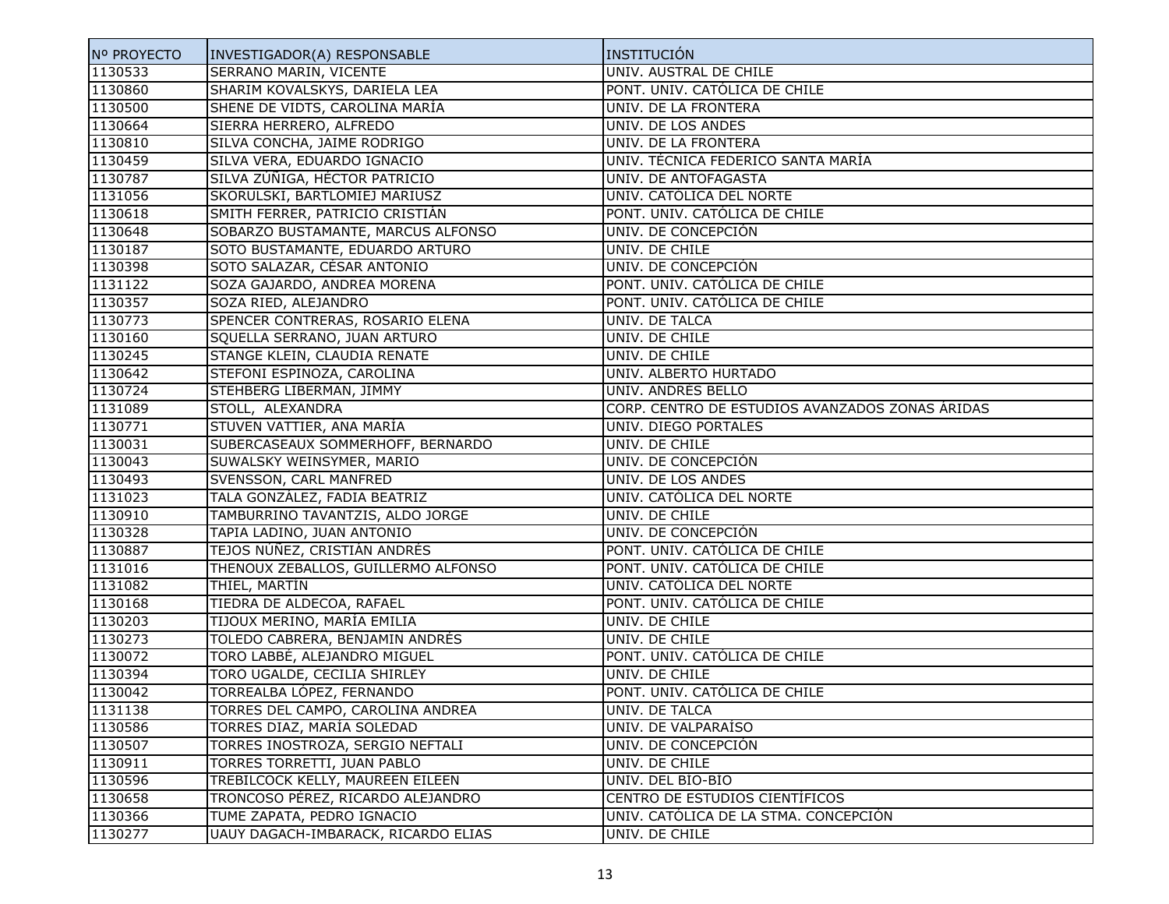| Nº PROYECTO | INVESTIGADOR(A) RESPONSABLE         | INSTITUCIÓN                                     |
|-------------|-------------------------------------|-------------------------------------------------|
| 1130533     | SERRANO MARIN, VICENTE              | UNIV. AUSTRAL DE CHILE                          |
| 1130860     | SHARIM KOVALSKYS, DARIELA LEA       | PONT. UNIV. CATÓLICA DE CHILE                   |
| 1130500     | SHENE DE VIDTS, CAROLINA MARÍA      | UNIV. DE LA FRONTERA                            |
| 1130664     | SIERRA HERRERO, ALFREDO             | UNIV. DE LOS ANDES                              |
| 1130810     | SILVA CONCHA, JAIME RODRIGO         | UNIV. DE LA FRONTERA                            |
| 1130459     | SILVA VERA, EDUARDO IGNACIO         | UNIV. TÉCNICA FEDERICO SANTA MARÍA              |
| 1130787     | SILVA ZÚÑIGA, HÉCTOR PATRICIO       | UNIV. DE ANTOFAGASTA                            |
| 1131056     | SKORULSKI, BARTLOMIEJ MARIUSZ       | UNIV. CATÓLICA DEL NORTE                        |
| 1130618     | SMITH FERRER, PATRICIO CRISTIÁN     | PONT. UNIV. CATÓLICA DE CHILE                   |
| 1130648     | SOBARZO BUSTAMANTE, MARCUS ALFONSO  | UNIV. DE CONCEPCIÓN                             |
| 1130187     | SOTO BUSTAMANTE, EDUARDO ARTURO     | UNIV. DE CHILE                                  |
| 1130398     | SOTO SALAZAR, CÉSAR ANTONIO         | UNIV. DE CONCEPCIÓN                             |
| 1131122     | SOZA GAJARDO, ANDREA MORENA         | PONT. UNIV. CATÓLICA DE CHILE                   |
| 1130357     | SOZA RIED, ALEJANDRO                | PONT. UNIV. CATÓLICA DE CHILE                   |
| 1130773     | SPENCER CONTRERAS, ROSARIO ELENA    | UNIV. DE TALCA                                  |
| 1130160     | SQUELLA SERRANO, JUAN ARTURO        | UNIV. DE CHILE                                  |
| 1130245     | STANGE KLEIN, CLAUDIA RENATE        | UNIV. DE CHILE                                  |
| 1130642     | STEFONI ESPINOZA, CAROLINA          | UNIV. ALBERTO HURTADO                           |
| 1130724     | STEHBERG LIBERMAN, JIMMY            | UNIV. ANDRÉS BELLO                              |
| 1131089     | STOLL, ALEXANDRA                    | CORP. CENTRO DE ESTUDIOS AVANZADOS ZONAS ÁRIDAS |
| 1130771     | STUVEN VATTIER, ANA MARÍA           | UNIV. DIEGO PORTALES                            |
| 1130031     | SUBERCASEAUX SOMMERHOFF, BERNARDO   | UNIV. DE CHILE                                  |
| 1130043     | SUWALSKY WEINSYMER, MARIO           | UNIV. DE CONCEPCIÓN                             |
| 1130493     | SVENSSON, CARL MANFRED              | UNIV. DE LOS ANDES                              |
| 1131023     | TALA GONZÁLEZ, FADIA BEATRIZ        | UNIV. CATÓLICA DEL NORTE                        |
| 1130910     | TAMBURRINO TAVANTZIS, ALDO JORGE    | UNIV. DE CHILE                                  |
| 1130328     | TAPIA LADINO, JUAN ANTONIO          | UNIV. DE CONCEPCIÓN                             |
| 1130887     | TEJOS NÚÑEZ, CRISTIÁN ANDRÉS        | PONT. UNIV. CATÓLICA DE CHILE                   |
| 1131016     | THENOUX ZEBALLOS, GUILLERMO ALFONSO | PONT. UNIV. CATÓLICA DE CHILE                   |
| 1131082     | THIEL, MARTÍN                       | UNIV. CATÓLICA DEL NORTE                        |
| 1130168     | TIEDRA DE ALDECOA, RAFAEL           | PONT. UNIV. CATÓLICA DE CHILE                   |
| 1130203     | TIJOUX MERINO, MARÍA EMILIA         | UNIV. DE CHILE                                  |
| 1130273     | TOLEDO CABRERA, BENJAMIN ANDRÉS     | UNIV. DE CHILE                                  |
| 1130072     | TORO LABBÉ, ALEJANDRO MIGUEL        | PONT. UNIV. CATÓLICA DE CHILE                   |
| 1130394     | TORO UGALDE, CECILIA SHIRLEY        | UNIV. DE CHILE                                  |
| 1130042     | TORREALBA LÓPEZ, FERNANDO           | PONT. UNIV. CATÓLICA DE CHILE                   |
| 1131138     | TORRES DEL CAMPO, CAROLINA ANDREA   | UNIV. DE TALCA                                  |
| 1130586     | TORRES DIAZ, MARÍA SOLEDAD          | UNIV. DE VALPARAÍSO                             |
| 1130507     | TORRES INOSTROZA, SERGIO NEFTALI    | UNIV. DE CONCEPCIÓN                             |
| 1130911     | TORRES TORRETTI, JUAN PABLO         | UNIV. DE CHILE                                  |
| 1130596     | TREBILCOCK KELLY, MAUREEN EILEEN    | UNIV. DEL BÍO-BÍO                               |
| 1130658     | TRONCOSO PÉREZ, RICARDO ALEJANDRO   | CENTRO DE ESTUDIOS CIENTÍFICOS                  |
| 1130366     | TUME ZAPATA, PEDRO IGNACIO          | UNIV. CATÓLICA DE LA STMA. CONCEPCIÓN           |
| 1130277     | UAUY DAGACH-IMBARACK, RICARDO ELIAS | UNIV. DE CHILE                                  |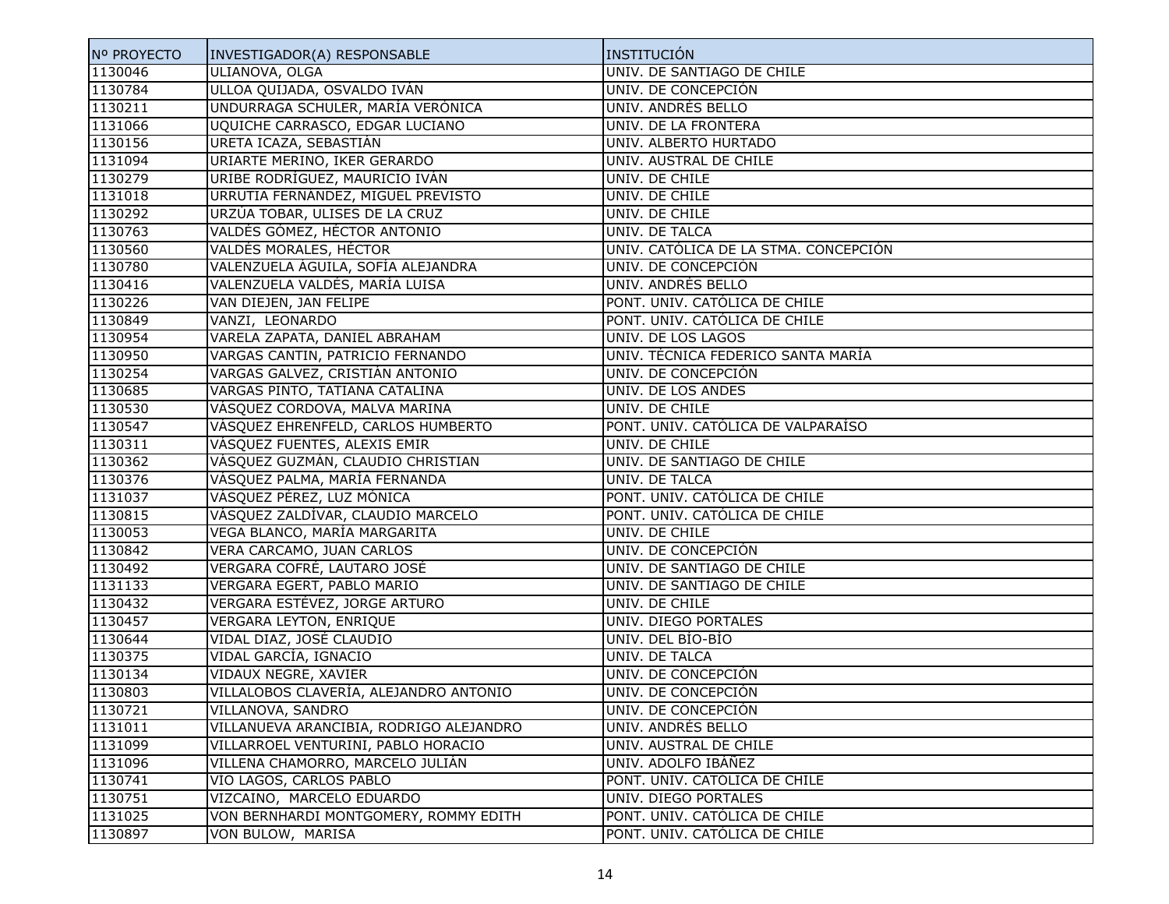| Nº PROYECTO | INVESTIGADOR(A) RESPONSABLE             | INSTITUCIÓN                           |
|-------------|-----------------------------------------|---------------------------------------|
| 1130046     | ULIANOVA, OLGA                          | UNIV. DE SANTIAGO DE CHILE            |
| 1130784     | ULLOA QUIJADA, OSVALDO IVÁN             | UNIV. DE CONCEPCIÓN                   |
| 1130211     | UNDURRAGA SCHULER, MARÍA VERÓNICA       | UNIV. ANDRÉS BELLO                    |
| 1131066     | UQUICHE CARRASCO, EDGAR LUCIANO         | UNIV. DE LA FRONTERA                  |
| 1130156     | URETA ICAZA, SEBASTIÁN                  | UNIV. ALBERTO HURTADO                 |
| 1131094     | URIARTE MERINO, IKER GERARDO            | UNIV. AUSTRAL DE CHILE                |
| 1130279     | URIBE RODRÍGUEZ, MAURICIO IVÁN          | UNIV. DE CHILE                        |
| 1131018     | URRUTIA FERNÁNDEZ, MIGUEL PREVISTO      | UNIV. DE CHILE                        |
| 1130292     | URZÚA TOBAR, ULISES DE LA CRUZ          | UNIV. DE CHILE                        |
| 1130763     | VALDÉS GÓMEZ, HÉCTOR ANTONIO            | UNIV. DE TALCA                        |
| 1130560     | VALDÉS MORALES, HÉCTOR                  | UNIV. CATÓLICA DE LA STMA. CONCEPCIÓN |
| 1130780     | VALENZUELA ÁGUILA, SOFÍA ALEJANDRA      | UNIV. DE CONCEPCIÓN                   |
| 1130416     | VALENZUELA VALDÉS, MARÍA LUISA          | UNIV. ANDRÉS BELLO                    |
| 1130226     | VAN DIEJEN, JAN FELIPE                  | PONT. UNIV. CATÓLICA DE CHILE         |
| 1130849     | VANZI, LEONARDO                         | PONT. UNIV. CATÓLICA DE CHILE         |
| 1130954     | VARELA ZAPATA, DANIEL ABRAHAM           | UNIV. DE LOS LAGOS                    |
| 1130950     | VARGAS CANTIN, PATRICIO FERNANDO        | UNIV. TÉCNICA FEDERICO SANTA MARÍA    |
| 1130254     | VARGAS GALVEZ, CRISTIÁN ANTONIO         | UNIV. DE CONCEPCIÓN                   |
| 1130685     | VARGAS PINTO, TATIANA CATALINA          | UNIV. DE LOS ANDES                    |
| 1130530     | VÁSQUEZ CORDOVA, MALVA MARINA           | UNIV. DE CHILE                        |
| 1130547     | VÁSQUEZ EHRENFELD, CARLOS HUMBERTO      | PONT. UNIV. CATÓLICA DE VALPARAÍSO    |
| 1130311     | VÁSQUEZ FUENTES, ALEXIS EMIR            | UNIV. DE CHILE                        |
| 1130362     | VÁSQUEZ GUZMÁN, CLAUDIO CHRISTIAN       | UNIV. DE SANTIAGO DE CHILE            |
| 1130376     | VÁSQUEZ PALMA, MARÍA FERNANDA           | UNIV. DE TALCA                        |
| 1131037     | VÁSQUEZ PÉREZ, LUZ MÓNICA               | PONT. UNIV. CATÓLICA DE CHILE         |
| 1130815     | VÁSQUEZ ZALDÍVAR, CLAUDIO MARCELO       | PONT. UNIV. CATÓLICA DE CHILE         |
| 1130053     | VEGA BLANCO, MARÍA MARGARITA            | UNIV. DE CHILE                        |
| 1130842     | VERA CARCAMO, JUAN CARLOS               | UNIV. DE CONCEPCIÓN                   |
| 1130492     | VERGARA COFRÉ, LAUTARO JOSÉ             | UNIV. DE SANTIAGO DE CHILE            |
| 1131133     | VERGARA EGERT, PABLO MARIO              | UNIV. DE SANTIAGO DE CHILE            |
| 1130432     | VERGARA ESTÉVEZ, JORGE ARTURO           | UNIV. DE CHILE                        |
| 1130457     | VERGARA LEYTON, ENRIQUE                 | UNIV. DIEGO PORTALES                  |
| 1130644     | VIDAL DIAZ, JOSÉ CLAUDIO                | UNIV. DEL BÍO-BÍO                     |
| 1130375     | VIDAL GARCÍA, IGNACIO                   | UNIV. DE TALCA                        |
| 1130134     | VIDAUX NEGRE, XAVIER                    | UNIV. DE CONCEPCIÓN                   |
| 1130803     | VILLALOBOS CLAVERÍA, ALEJANDRO ANTONIO  | UNIV. DE CONCEPCIÓN                   |
| 1130721     | VILLANOVA, SANDRO                       | UNIV. DE CONCEPCIÓN                   |
| 1131011     | VILLANUEVA ARANCIBIA, RODRIGO ALEJANDRO | UNIV. ANDRÉS BELLO                    |
| 1131099     | VILLARROEL VENTURINI, PABLO HORACIO     | UNIV. AUSTRAL DE CHILE                |
| 1131096     | VILLENA CHAMORRO, MARCELO JULIÁN        | UNIV. ADOLFO IBÁÑEZ                   |
| 1130741     | VÍO LAGOS, CARLOS PABLO                 | PONT. UNIV. CATÓLICA DE CHILE         |
| 1130751     | VIZCAINO, MARCELO EDUARDO               | UNIV. DIEGO PORTALES                  |
| 1131025     | VON BERNHARDI MONTGOMERY, ROMMY EDITH   | PONT. UNIV. CATÓLICA DE CHILE         |
| 1130897     | VON BULOW, MARISA                       | PONT. UNIV. CATÓLICA DE CHILE         |